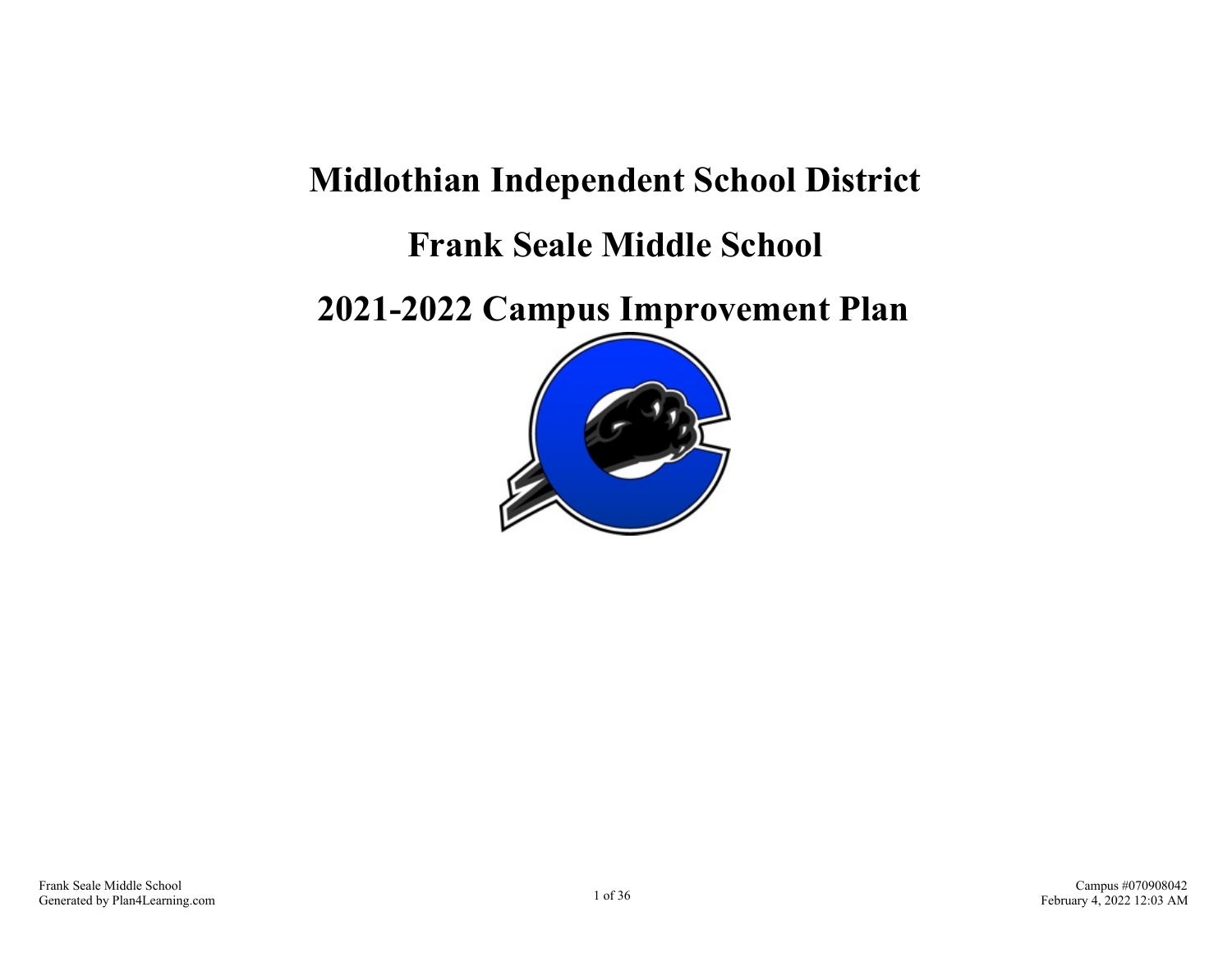### **Midlothian Independent School District**

### **Frank Seale Middle School**

**2021-2022 Campus Improvement Plan**

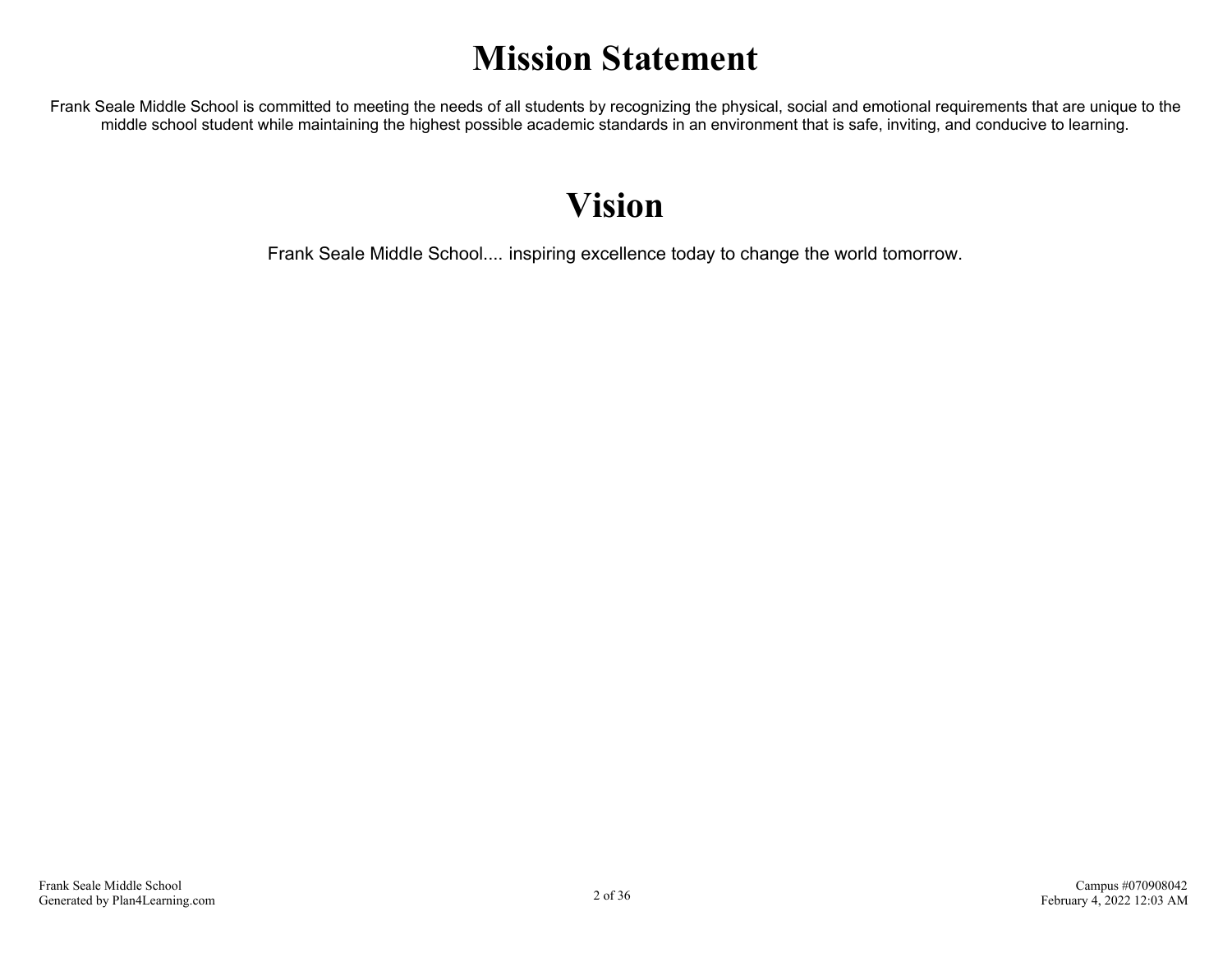# **Mission Statement**

Frank Seale Middle School is committed to meeting the needs of all students by recognizing the physical, social and emotional requirements that are unique to the middle school student while maintaining the highest possible academic standards in an environment that is safe, inviting, and conducive to learning.

### **Vision**

Frank Seale Middle School.... inspiring excellence today to change the world tomorrow.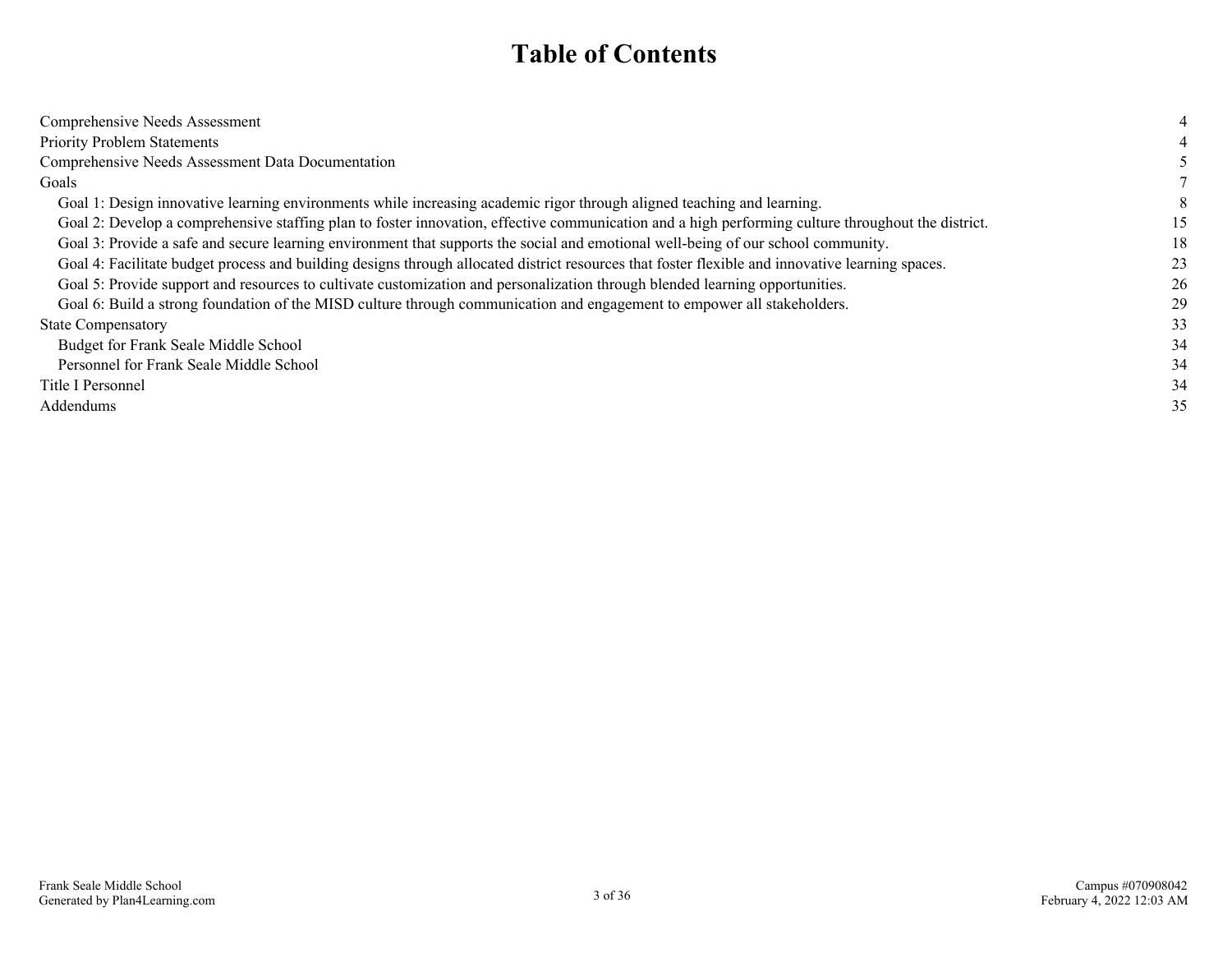### **Table of Contents**

| Comprehensive Needs Assessment                                                                                                                     |    |
|----------------------------------------------------------------------------------------------------------------------------------------------------|----|
| <b>Priority Problem Statements</b>                                                                                                                 |    |
| Comprehensive Needs Assessment Data Documentation                                                                                                  |    |
| Goals                                                                                                                                              |    |
| Goal 1: Design innovative learning environments while increasing academic rigor through aligned teaching and learning.                             |    |
| Goal 2: Develop a comprehensive staffing plan to foster innovation, effective communication and a high performing culture throughout the district. | 15 |
| Goal 3: Provide a safe and secure learning environment that supports the social and emotional well-being of our school community.                  | 18 |
| Goal 4: Facilitate budget process and building designs through allocated district resources that foster flexible and innovative learning spaces.   | 23 |
| Goal 5: Provide support and resources to cultivate customization and personalization through blended learning opportunities.                       | 26 |
| Goal 6: Build a strong foundation of the MISD culture through communication and engagement to empower all stakeholders.                            | 29 |
| <b>State Compensatory</b>                                                                                                                          | 33 |
| Budget for Frank Seale Middle School                                                                                                               | 34 |
| Personnel for Frank Seale Middle School                                                                                                            | 34 |
| Title I Personnel                                                                                                                                  | 34 |
| Addendums                                                                                                                                          | 35 |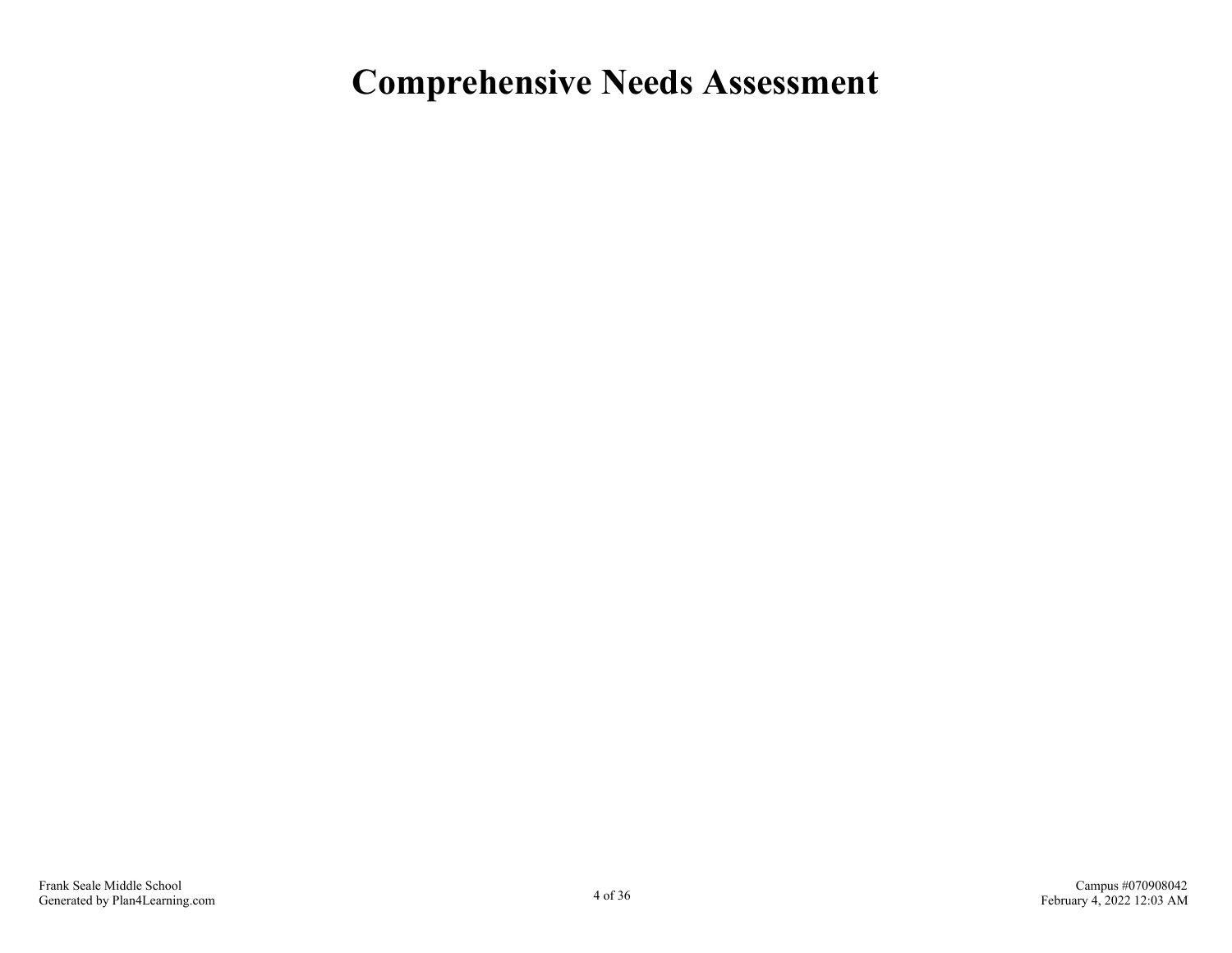### <span id="page-3-0"></span>**Comprehensive Needs Assessment**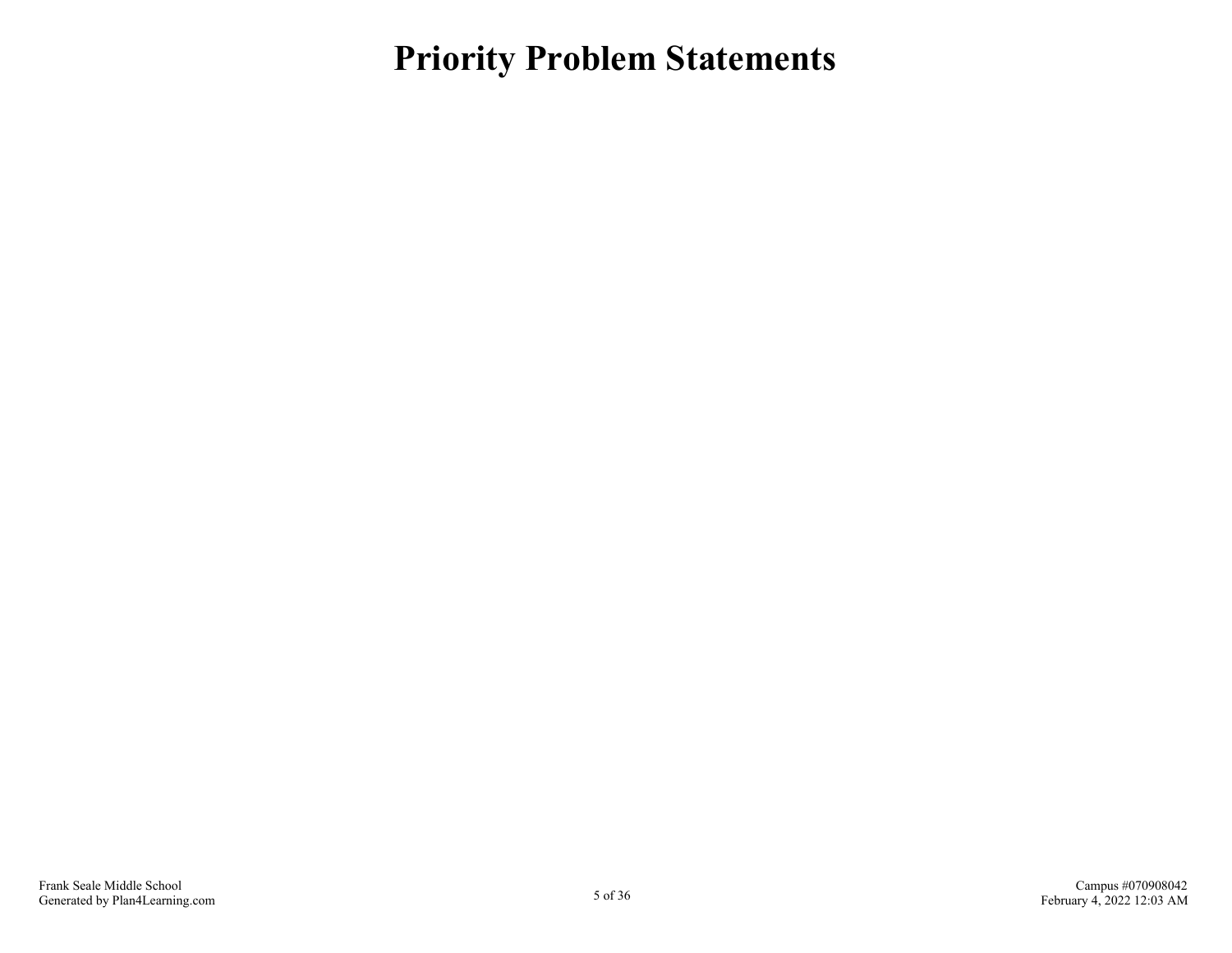<span id="page-4-0"></span>**Priority Problem Statements**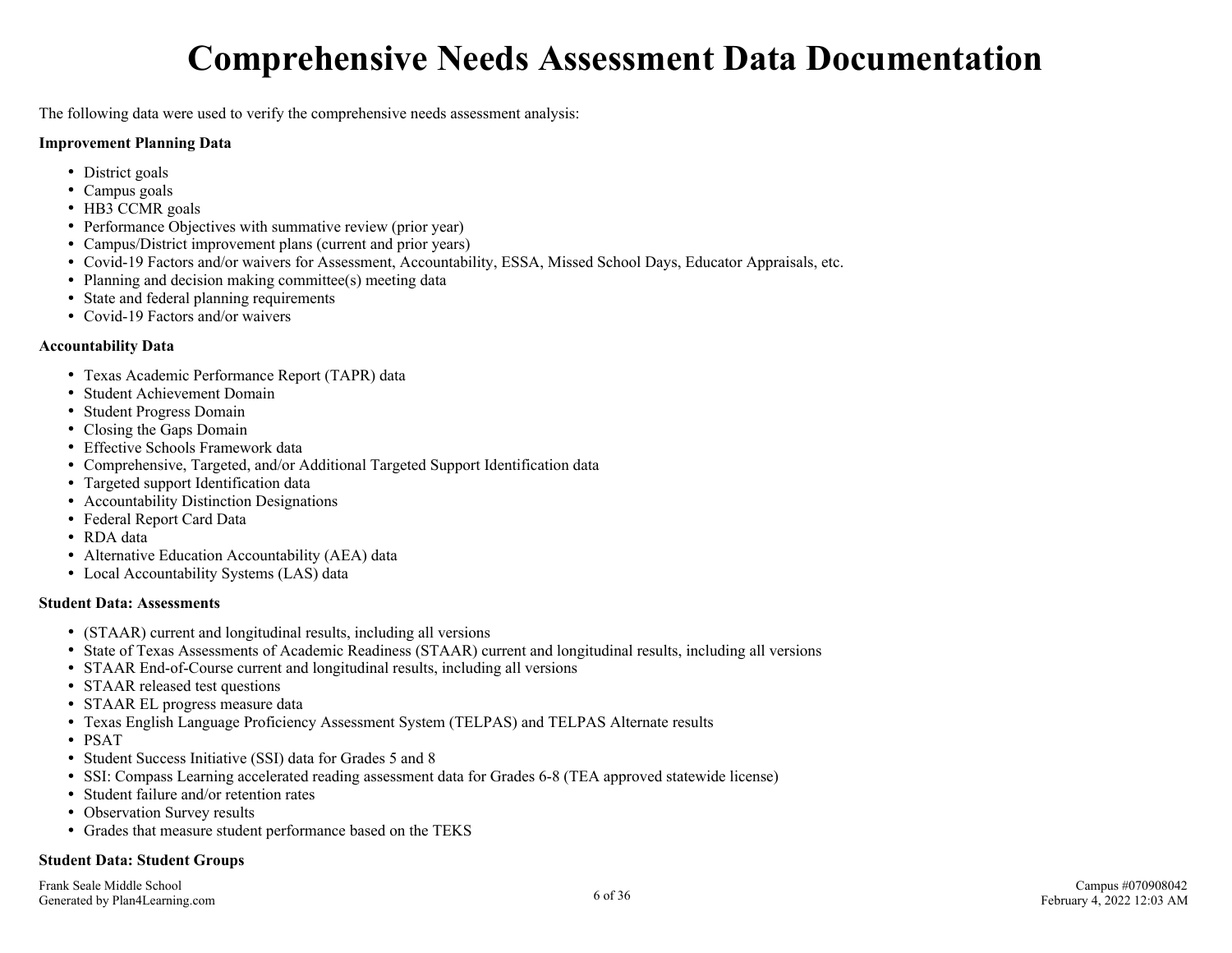# **Comprehensive Needs Assessment Data Documentation**

<span id="page-5-0"></span>The following data were used to verify the comprehensive needs assessment analysis:

#### **Improvement Planning Data**

- District goals
- Campus goals
- HB3 CCMR goals
- Performance Objectives with summative review (prior year)
- Campus/District improvement plans (current and prior years)
- Covid-19 Factors and/or waivers for Assessment, Accountability, ESSA, Missed School Days, Educator Appraisals, etc.
- Planning and decision making committee(s) meeting data
- State and federal planning requirements
- Covid-19 Factors and/or waivers

#### **Accountability Data**

- Texas Academic Performance Report (TAPR) data
- Student Achievement Domain
- Student Progress Domain
- Closing the Gaps Domain
- Effective Schools Framework data
- Comprehensive, Targeted, and/or Additional Targeted Support Identification data
- Targeted support Identification data
- Accountability Distinction Designations
- Federal Report Card Data
- RDA data
- Alternative Education Accountability (AEA) data
- Local Accountability Systems (LAS) data

#### **Student Data: Assessments**

- (STAAR) current and longitudinal results, including all versions
- State of Texas Assessments of Academic Readiness (STAAR) current and longitudinal results, including all versions
- STAAR End-of-Course current and longitudinal results, including all versions
- STAAR released test questions
- STAAR EL progress measure data
- Texas English Language Proficiency Assessment System (TELPAS) and TELPAS Alternate results
- PSAT
- Student Success Initiative (SSI) data for Grades 5 and 8
- SSI: Compass Learning accelerated reading assessment data for Grades 6-8 (TEA approved statewide license)
- Student failure and/or retention rates
- Observation Survey results
- Grades that measure student performance based on the TEKS

#### **Student Data: Student Groups**

Frank Seale Middle School Generated by Plan4Learning.com 6 of 36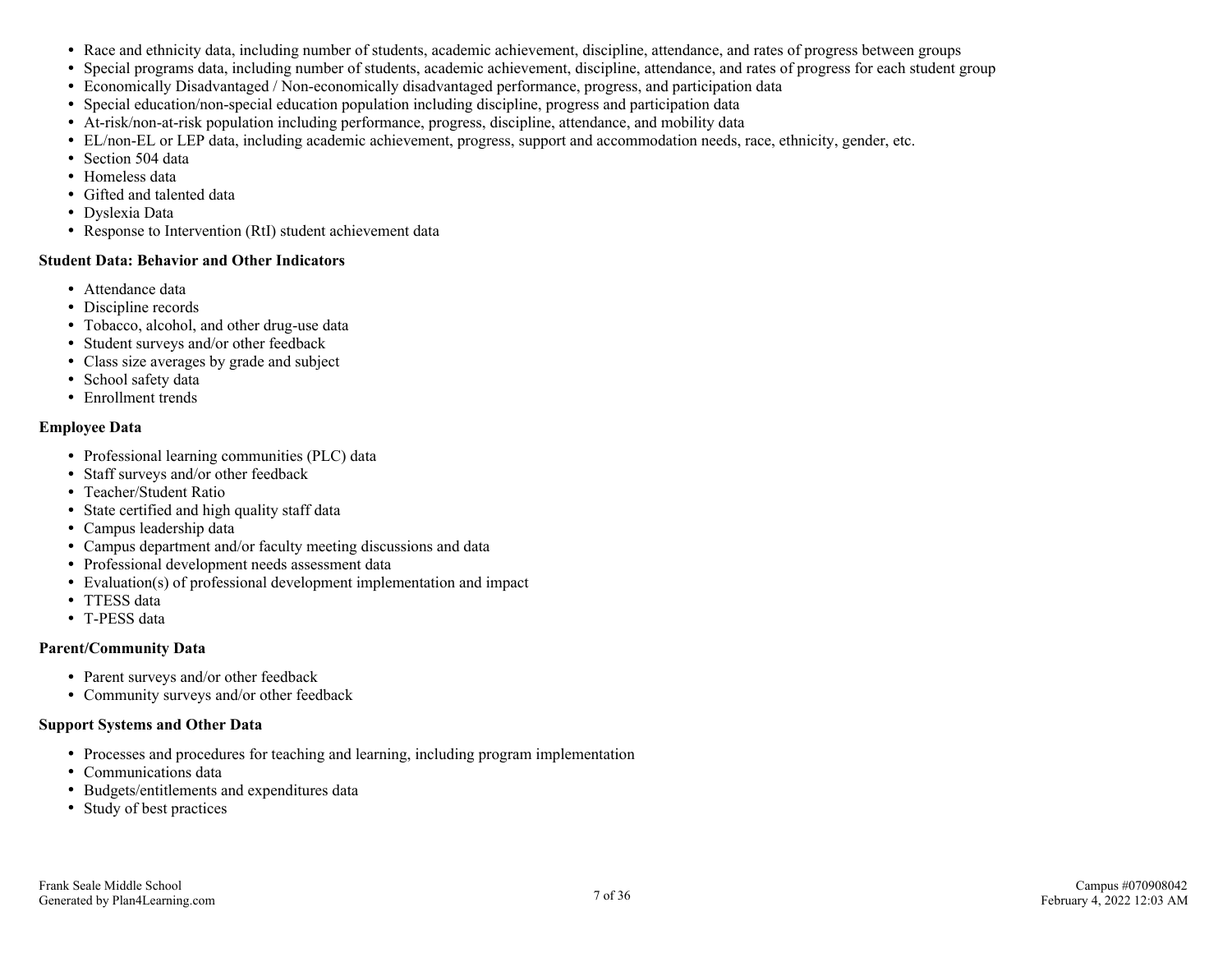- Race and ethnicity data, including number of students, academic achievement, discipline, attendance, and rates of progress between groups
- Special programs data, including number of students, academic achievement, discipline, attendance, and rates of progress for each student group
- Economically Disadvantaged / Non-economically disadvantaged performance, progress, and participation data
- Special education/non-special education population including discipline, progress and participation data
- At-risk/non-at-risk population including performance, progress, discipline, attendance, and mobility data
- EL/non-EL or LEP data, including academic achievement, progress, support and accommodation needs, race, ethnicity, gender, etc.
- Section 504 data
- Homeless data
- Gifted and talented data
- Dyslexia Data
- Response to Intervention (RtI) student achievement data

#### **Student Data: Behavior and Other Indicators**

- Attendance data
- Discipline records
- Tobacco, alcohol, and other drug-use data
- Student surveys and/or other feedback
- Class size averages by grade and subject
- School safety data
- Enrollment trends

#### **Employee Data**

- Professional learning communities (PLC) data
- Staff surveys and/or other feedback
- Teacher/Student Ratio
- State certified and high quality staff data
- Campus leadership data
- Campus department and/or faculty meeting discussions and data
- Professional development needs assessment data
- Evaluation(s) of professional development implementation and impact
- TTESS data
- T-PESS data

#### **Parent/Community Data**

- Parent surveys and/or other feedback
- Community surveys and/or other feedback

#### **Support Systems and Other Data**

- Processes and procedures for teaching and learning, including program implementation
- Communications data
- Budgets/entitlements and expenditures data
- Study of best practices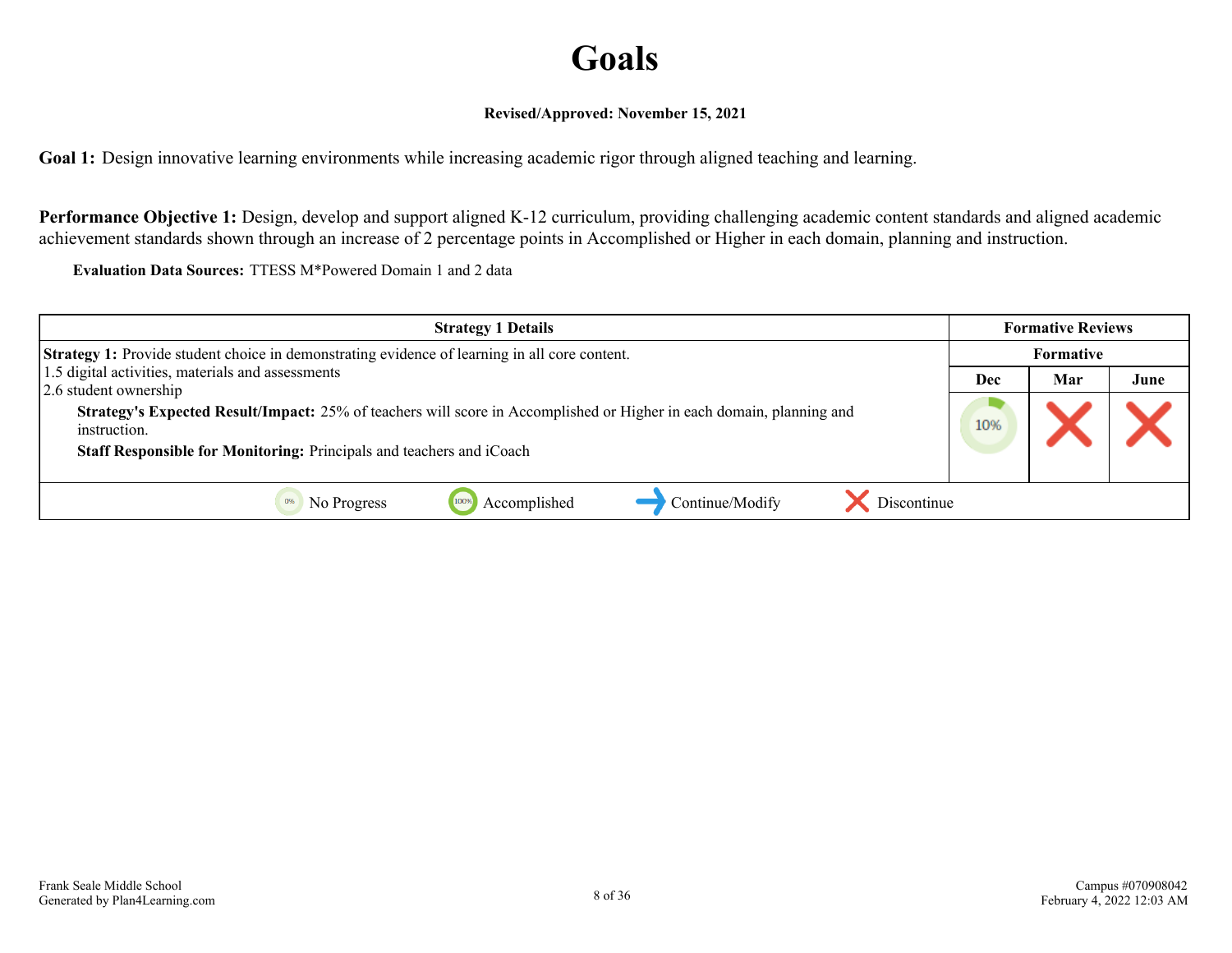### **Goals**

#### **Revised/Approved: November 15, 2021**

<span id="page-7-0"></span>**Goal 1:** Design innovative learning environments while increasing academic rigor through aligned teaching and learning.

**Performance Objective 1:** Design, develop and support aligned K-12 curriculum, providing challenging academic content standards and aligned academic achievement standards shown through an increase of 2 percentage points in Accomplished or Higher in each domain, planning and instruction.

**Evaluation Data Sources:** TTESS M\*Powered Domain 1 and 2 data

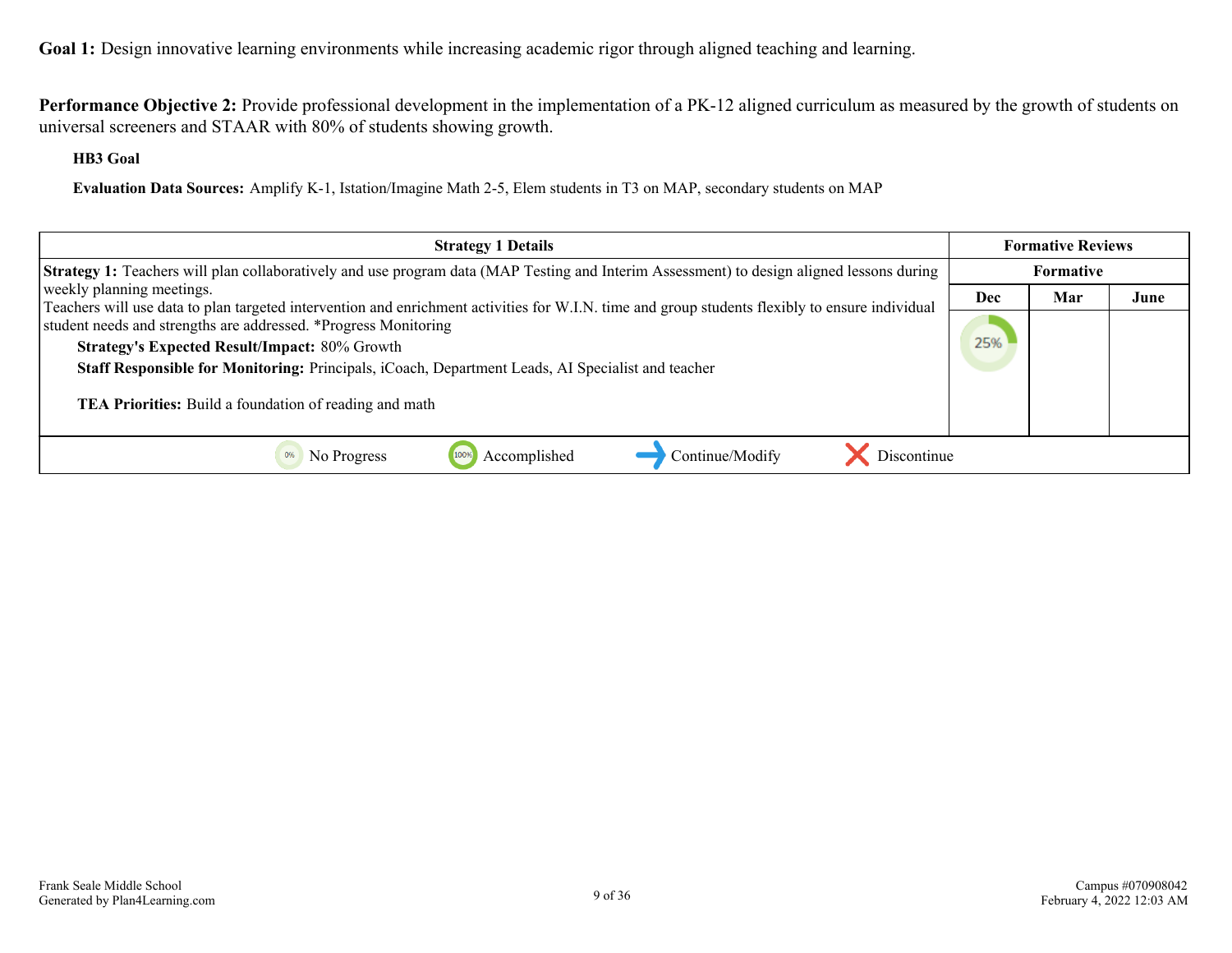**Performance Objective 2:** Provide professional development in the implementation of a PK-12 aligned curriculum as measured by the growth of students on universal screeners and STAAR with 80% of students showing growth.

**HB3 Goal**

**Evaluation Data Sources:** Amplify K-1, Istation/Imagine Math 2-5, Elem students in T3 on MAP, secondary students on MAP

| <b>Strategy 1 Details</b>                                                                                                                                                                                                                                                                                                                                                                                                                 | <b>Formative Reviews</b> |                  |      |
|-------------------------------------------------------------------------------------------------------------------------------------------------------------------------------------------------------------------------------------------------------------------------------------------------------------------------------------------------------------------------------------------------------------------------------------------|--------------------------|------------------|------|
| Strategy 1: Teachers will plan collaboratively and use program data (MAP Testing and Interim Assessment) to design aligned lessons during                                                                                                                                                                                                                                                                                                 |                          | <b>Formative</b> |      |
| weekly planning meetings.                                                                                                                                                                                                                                                                                                                                                                                                                 | Dec                      | Mar              | June |
| Teachers will use data to plan targeted intervention and enrichment activities for W.I.N. time and group students flexibly to ensure individual<br>student needs and strengths are addressed. *Progress Monitoring<br><b>Strategy's Expected Result/Impact: 80% Growth</b><br>Staff Responsible for Monitoring: Principals, iCoach, Department Leads, AI Specialist and teacher<br>TEA Priorities: Build a foundation of reading and math | 25%                      |                  |      |
| Accomplished<br>Continue/Modify<br>Discontinue<br>No Progress                                                                                                                                                                                                                                                                                                                                                                             |                          |                  |      |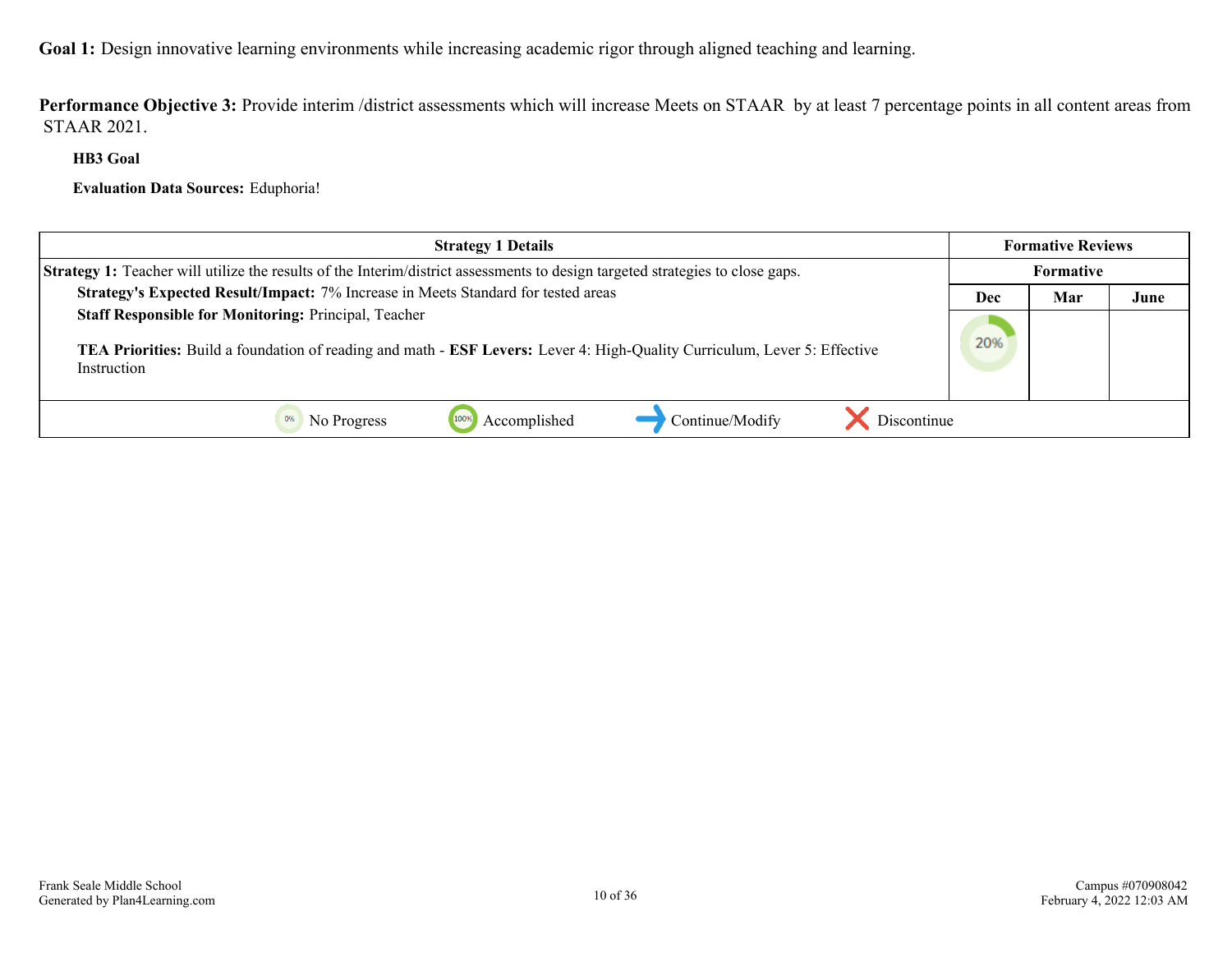Performance Objective 3: Provide interim /district assessments which will increase Meets on STAAR by at least 7 percentage points in all content areas from STAAR 2021.

**HB3 Goal**

**Evaluation Data Sources:** Eduphoria!

| <b>Strategy 1 Details</b>                                                                                                                                                                                             | <b>Formative Reviews</b> |     |      |
|-----------------------------------------------------------------------------------------------------------------------------------------------------------------------------------------------------------------------|--------------------------|-----|------|
| <b>Strategy 1:</b> Teacher will utilize the results of the Interim/district assessments to design targeted strategies to close gaps.                                                                                  | <b>Formative</b>         |     |      |
| Strategy's Expected Result/Impact: 7% Increase in Meets Standard for tested areas                                                                                                                                     | Dec                      | Mar | June |
| <b>Staff Responsible for Monitoring: Principal, Teacher</b><br><b>TEA Priorities:</b> Build a foundation of reading and math - <b>ESF Levers:</b> Lever 4: High-Quality Curriculum, Lever 5: Effective<br>Instruction | 20%                      |     |      |
| Continue/Modify<br>Discontinue<br>Accomplished<br>No Progress                                                                                                                                                         |                          |     |      |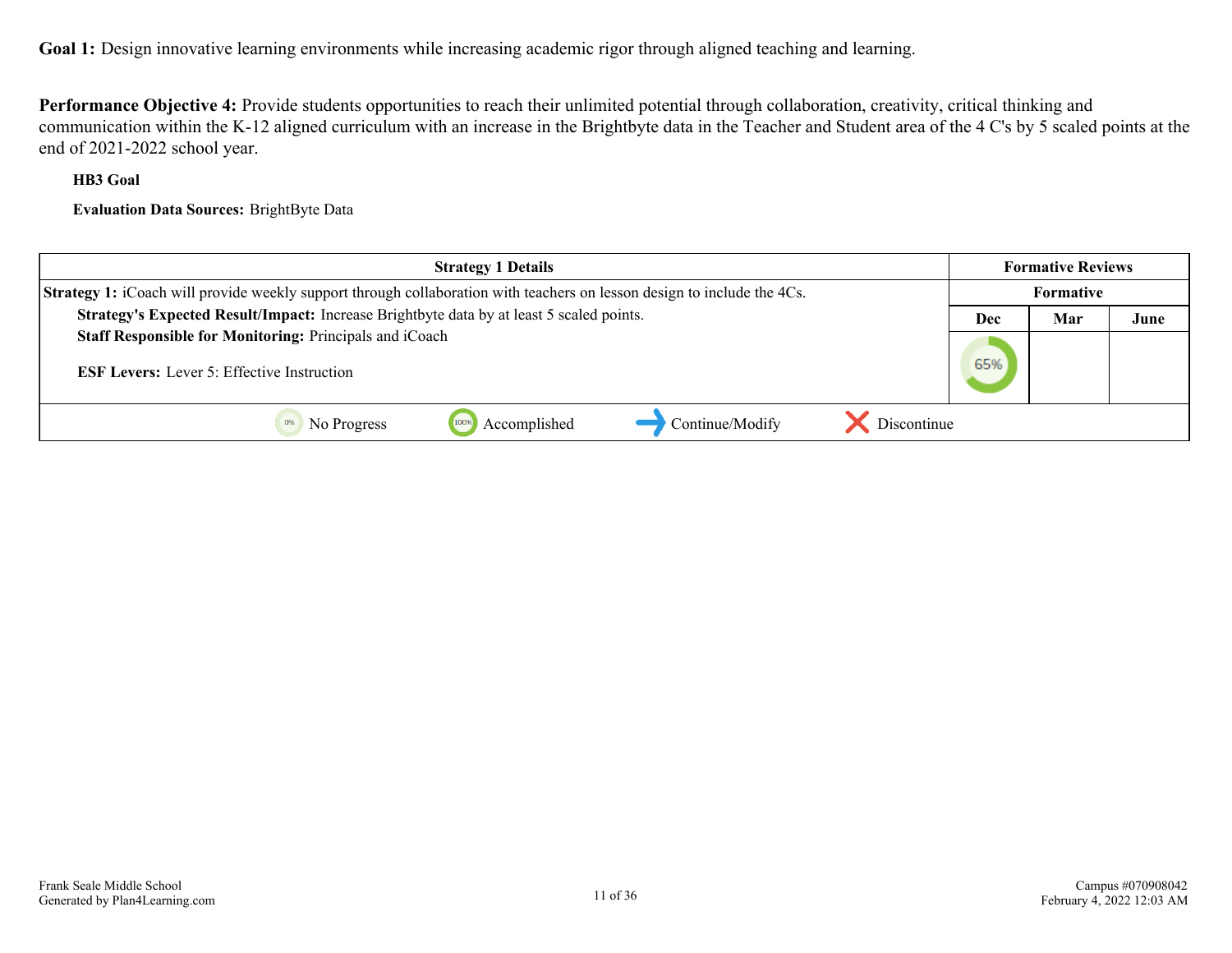**Performance Objective 4:** Provide students opportunities to reach their unlimited potential through collaboration, creativity, critical thinking and communication within the K-12 aligned curriculum with an increase in the Brightbyte data in the Teacher and Student area of the 4 C's by 5 scaled points at the end of 2021-2022 school year.

#### **HB3 Goal**

**Evaluation Data Sources:** BrightByte Data

| <b>Strategy 1 Details</b>                                                                                               | <b>Formative Reviews</b> |     |      |
|-------------------------------------------------------------------------------------------------------------------------|--------------------------|-----|------|
| Strategy 1: iCoach will provide weekly support through collaboration with teachers on lesson design to include the 4Cs. | <b>Formative</b>         |     |      |
| Strategy's Expected Result/Impact: Increase Brightbyte data by at least 5 scaled points.                                | Dec                      | Mar | June |
| <b>Staff Responsible for Monitoring: Principals and iCoach</b>                                                          |                          |     |      |
| <b>ESF Levers:</b> Lever 5: Effective Instruction                                                                       | 65%                      |     |      |
|                                                                                                                         |                          |     |      |
| Continue/Modify<br>Discontinue<br>Accomplished<br>1009<br>No Progress                                                   |                          |     |      |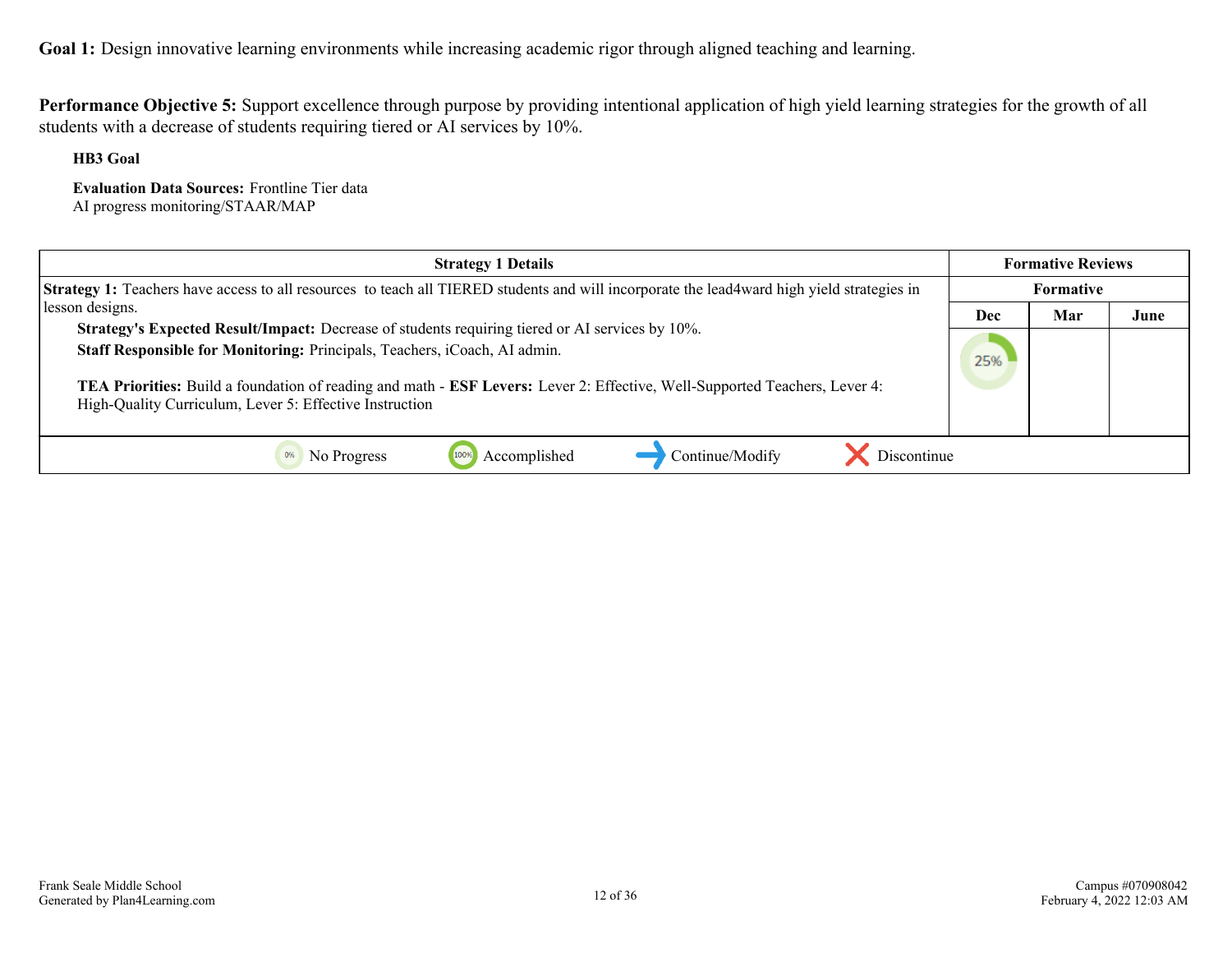**Performance Objective 5:** Support excellence through purpose by providing intentional application of high yield learning strategies for the growth of all students with a decrease of students requiring tiered or AI services by 10%.

**HB3 Goal**

**Evaluation Data Sources:** Frontline Tier data AI progress monitoring/STAAR/MAP

| <b>Strategy 1 Details</b>                                                                                                                                                                                                                                                                                                                                             | <b>Formative Reviews</b> |     |      |
|-----------------------------------------------------------------------------------------------------------------------------------------------------------------------------------------------------------------------------------------------------------------------------------------------------------------------------------------------------------------------|--------------------------|-----|------|
| Strategy 1: Teachers have access to all resources to teach all TIERED students and will incorporate the lead4ward high yield strategies in                                                                                                                                                                                                                            | Formative                |     |      |
| lesson designs.                                                                                                                                                                                                                                                                                                                                                       | Dec                      | Mar | June |
| Strategy's Expected Result/Impact: Decrease of students requiring tiered or AI services by 10%.<br>Staff Responsible for Monitoring: Principals, Teachers, iCoach, AI admin.<br>TEA Priorities: Build a foundation of reading and math - ESF Levers: Lever 2: Effective, Well-Supported Teachers, Lever 4:<br>High-Quality Curriculum, Lever 5: Effective Instruction | 25%                      |     |      |
| Continue/Modify<br>Discontinue<br>Accomplished<br>No Progress                                                                                                                                                                                                                                                                                                         |                          |     |      |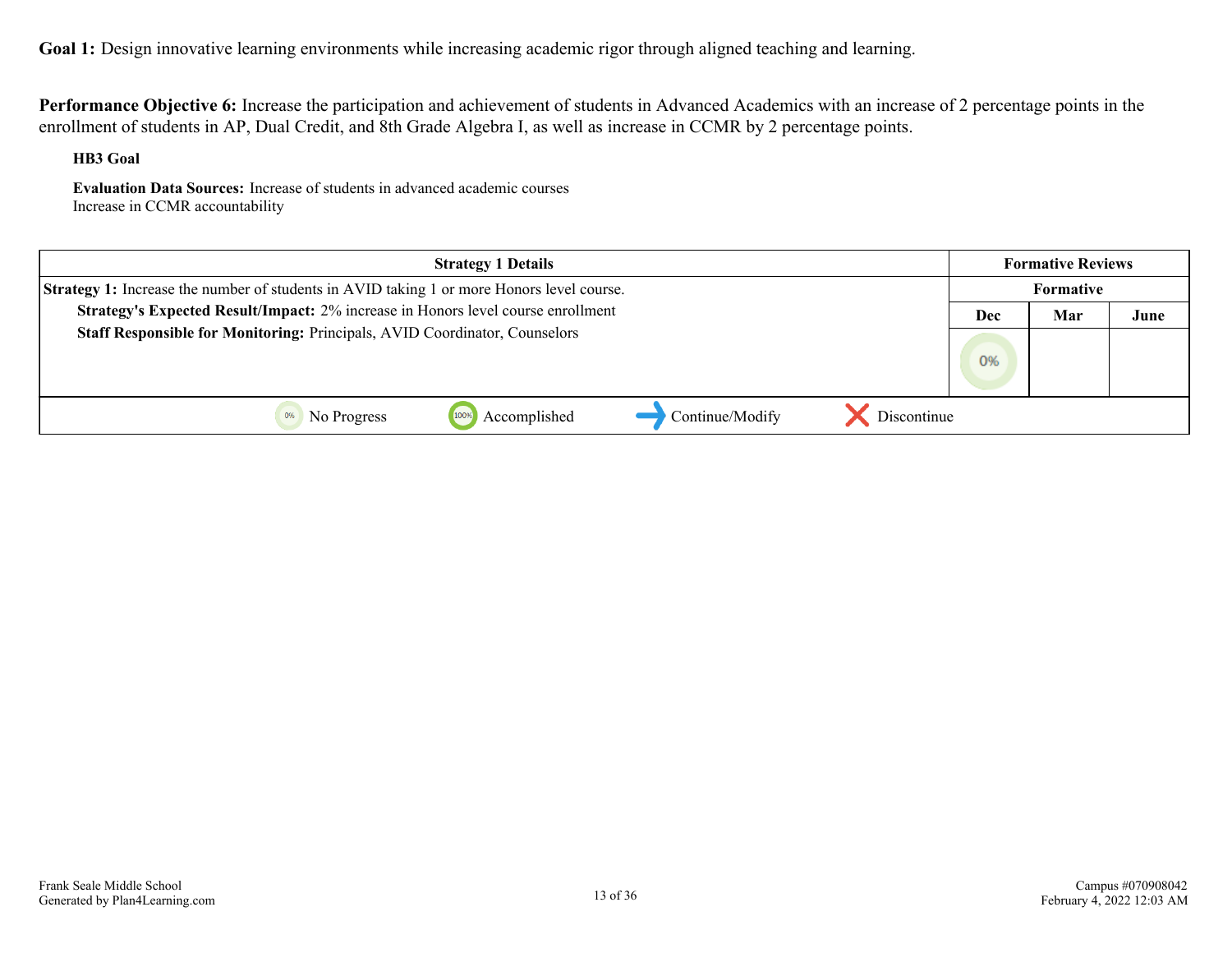**Performance Objective 6:** Increase the participation and achievement of students in Advanced Academics with an increase of 2 percentage points in the enrollment of students in AP, Dual Credit, and 8th Grade Algebra I, as well as increase in CCMR by 2 percentage points.

#### **HB3 Goal**

**Evaluation Data Sources:** Increase of students in advanced academic courses Increase in CCMR accountability

| <b>Strategy 1 Details</b>                                                                        | <b>Formative Reviews</b> |           |      |
|--------------------------------------------------------------------------------------------------|--------------------------|-----------|------|
| <b>Strategy 1:</b> Increase the number of students in AVID taking 1 or more Honors level course. |                          | Formative |      |
| Strategy's Expected Result/Impact: 2% increase in Honors level course enrollment                 | Dec                      | Mar       | June |
| Staff Responsible for Monitoring: Principals, AVID Coordinator, Counselors                       |                          |           |      |
|                                                                                                  | 0%                       |           |      |
|                                                                                                  |                          |           |      |
| Continue/Modify<br>Discontinue<br>1009<br>Accomplished<br>No Progress                            |                          |           |      |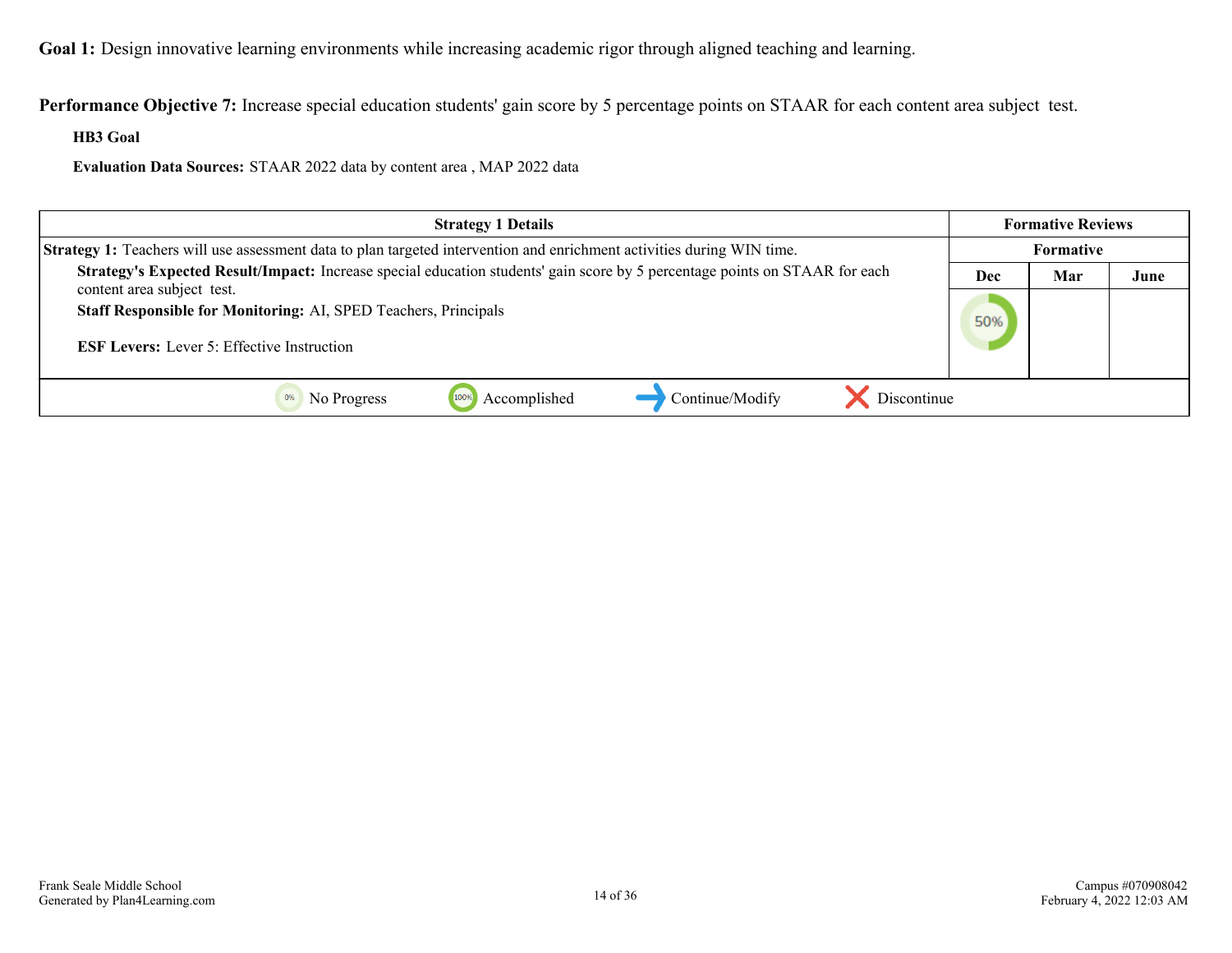**Performance Objective 7:** Increase special education students' gain score by 5 percentage points on STAAR for each content area subject test.

**HB3 Goal**

**Evaluation Data Sources:** STAAR 2022 data by content area , MAP 2022 data

| <b>Strategy 1 Details</b>                                                                                                                                 | <b>Formative Reviews</b> |           |      |
|-----------------------------------------------------------------------------------------------------------------------------------------------------------|--------------------------|-----------|------|
| <b>Strategy 1:</b> Teachers will use assessment data to plan targeted intervention and enrichment activities during WIN time.                             |                          | Formative |      |
| Strategy's Expected Result/Impact: Increase special education students' gain score by 5 percentage points on STAAR for each                               | Dec                      | Mar       | June |
| content area subject test.<br><b>Staff Responsible for Monitoring: AI, SPED Teachers, Principals</b><br><b>ESF Levers:</b> Lever 5: Effective Instruction | 50%                      |           |      |
| Continue/Modify<br>Accomplished<br>Discontinue<br>No Progress                                                                                             |                          |           |      |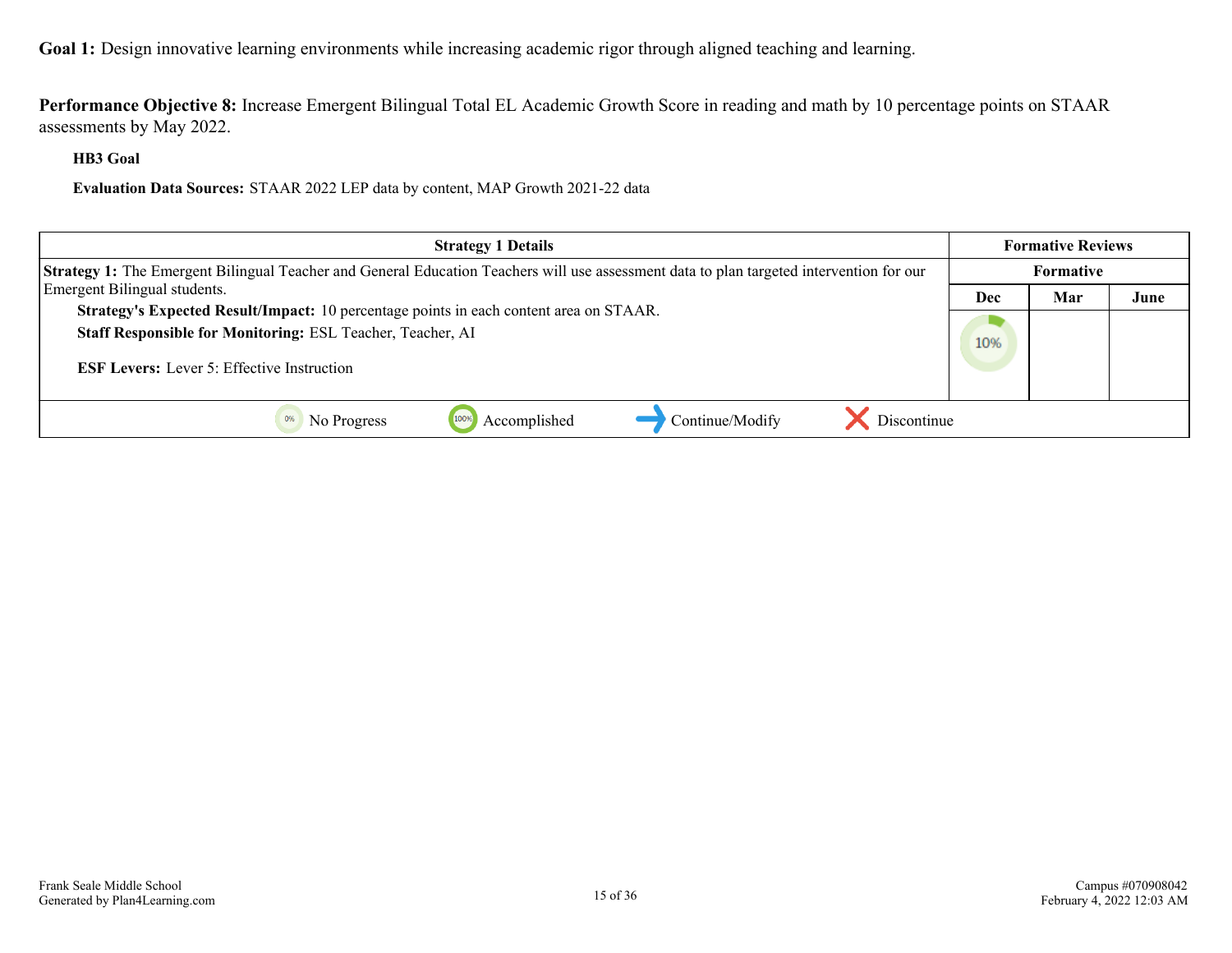**Performance Objective 8:** Increase Emergent Bilingual Total EL Academic Growth Score in reading and math by 10 percentage points on STAAR assessments by May 2022.

**HB3 Goal**

**Evaluation Data Sources:** STAAR 2022 LEP data by content, MAP Growth 2021-22 data

| <b>Strategy 1 Details</b>                                                                                                                            | <b>Formative Reviews</b> |     |      |
|------------------------------------------------------------------------------------------------------------------------------------------------------|--------------------------|-----|------|
| <b>Strategy 1:</b> The Emergent Bilingual Teacher and General Education Teachers will use assessment data to plan targeted intervention for our      | Formative                |     |      |
| Emergent Bilingual students.                                                                                                                         | <b>Dec</b>               | Mar | June |
| Strategy's Expected Result/Impact: 10 percentage points in each content area on STAAR.<br>Staff Responsible for Monitoring: ESL Teacher, Teacher, AI |                          |     |      |
| <b>ESF Levers:</b> Lever 5: Effective Instruction                                                                                                    | 10%                      |     |      |
| Discontinue<br>Accomplished<br>Continue/Modify<br>1009<br>No Progress                                                                                |                          |     |      |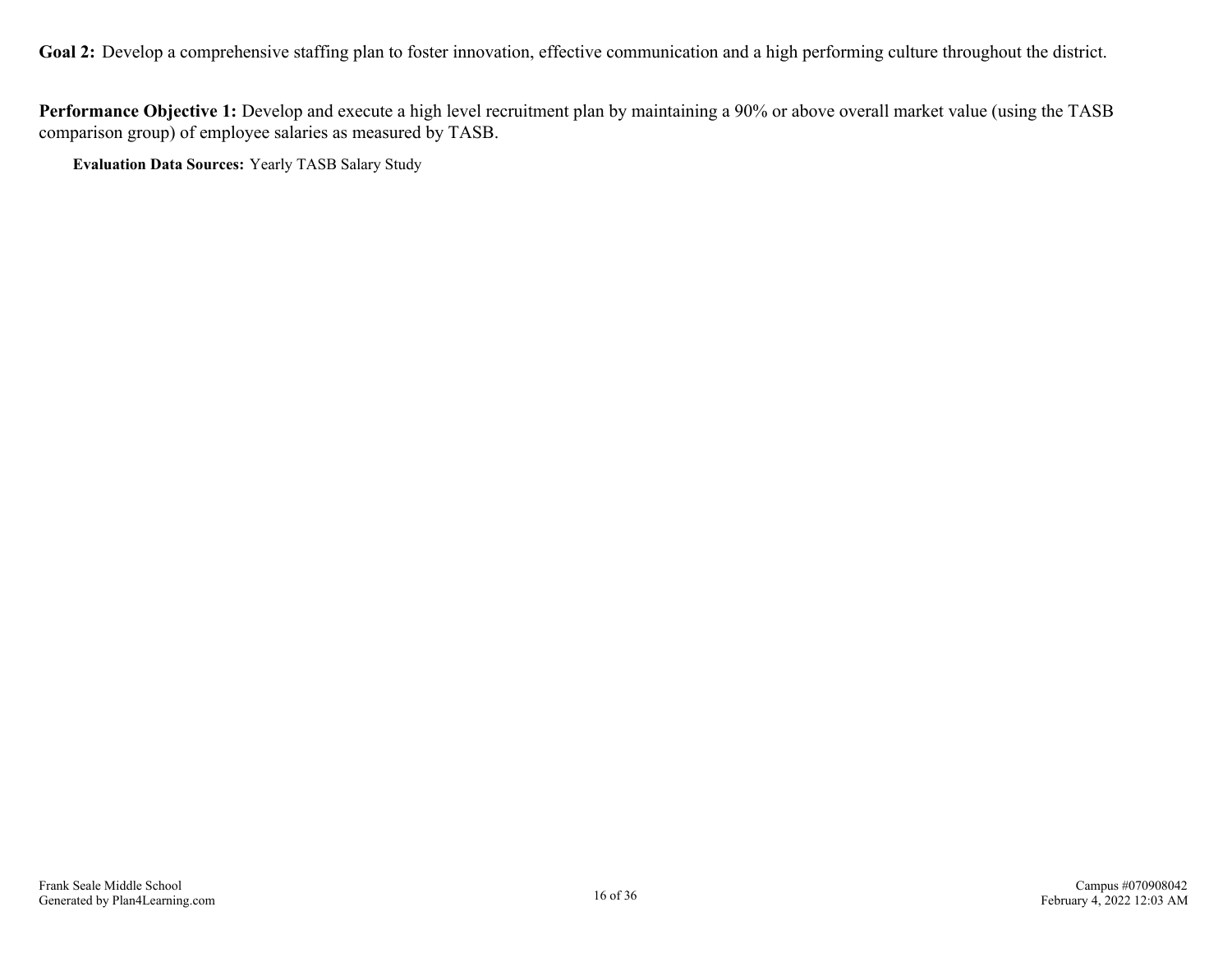<span id="page-15-0"></span>Goal 2: Develop a comprehensive staffing plan to foster innovation, effective communication and a high performing culture throughout the district.

**Performance Objective 1:** Develop and execute a high level recruitment plan by maintaining a 90% or above overall market value (using the TASB comparison group) of employee salaries as measured by TASB.

**Evaluation Data Sources:** Yearly TASB Salary Study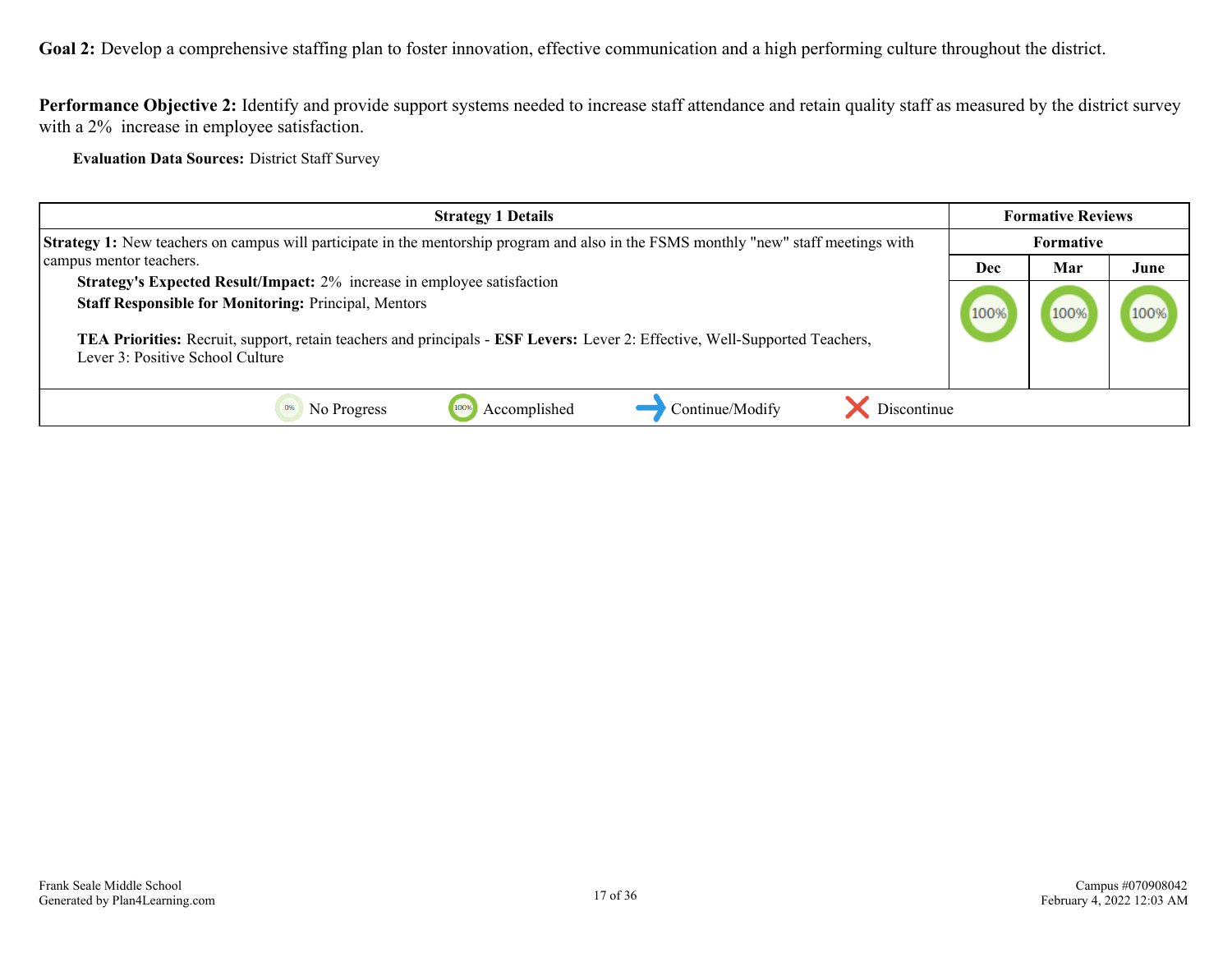**Goal 2:** Develop a comprehensive staffing plan to foster innovation, effective communication and a high performing culture throughout the district.

Performance Objective 2: Identify and provide support systems needed to increase staff attendance and retain quality staff as measured by the district survey with a 2% increase in employee satisfaction.

**Evaluation Data Sources:** District Staff Survey

| <b>Strategy 1 Details</b>                                                                                                                                                                                                                                                                                 | <b>Formative Reviews</b> |      |      |
|-----------------------------------------------------------------------------------------------------------------------------------------------------------------------------------------------------------------------------------------------------------------------------------------------------------|--------------------------|------|------|
| Strategy 1: New teachers on campus will participate in the mentorship program and also in the FSMS monthly "new" staff meetings with                                                                                                                                                                      | Formative                |      |      |
| campus mentor teachers.                                                                                                                                                                                                                                                                                   | Dec                      | Mar  | June |
| Strategy's Expected Result/Impact: 2% increase in employee satisfaction<br><b>Staff Responsible for Monitoring: Principal, Mentors</b><br>TEA Priorities: Recruit, support, retain teachers and principals - ESF Levers: Lever 2: Effective, Well-Supported Teachers,<br>Lever 3: Positive School Culture |                          | 100% |      |
| Continue/Modify<br>Discontinue<br>Accomplished<br>No Progress                                                                                                                                                                                                                                             |                          |      |      |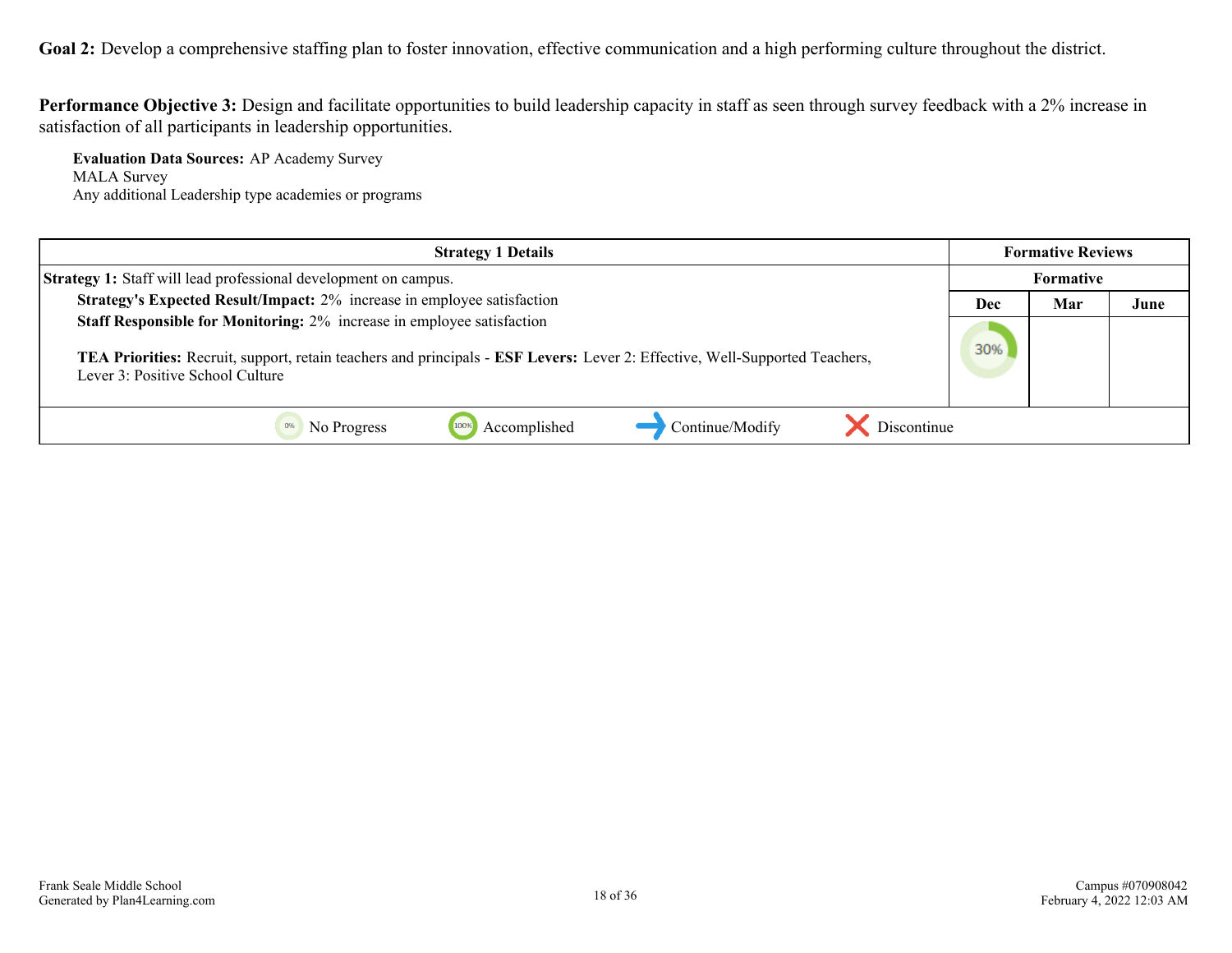Goal 2: Develop a comprehensive staffing plan to foster innovation, effective communication and a high performing culture throughout the district.

**Performance Objective 3:** Design and facilitate opportunities to build leadership capacity in staff as seen through survey feedback with a 2% increase in satisfaction of all participants in leadership opportunities.

**Evaluation Data Sources:** AP Academy Survey MALA Survey Any additional Leadership type academies or programs

| <b>Strategy 1 Details</b>                                                                                                                                                                                                                               | <b>Formative Reviews</b> |           |      |
|---------------------------------------------------------------------------------------------------------------------------------------------------------------------------------------------------------------------------------------------------------|--------------------------|-----------|------|
| <b>Strategy 1:</b> Staff will lead professional development on campus.                                                                                                                                                                                  |                          | Formative |      |
| Strategy's Expected Result/Impact: 2% increase in employee satisfaction                                                                                                                                                                                 | Dec                      | Mar       | June |
| Staff Responsible for Monitoring: 2% increase in employee satisfaction<br><b>TEA Priorities:</b> Recruit, support, retain teachers and principals - <b>ESF Levers:</b> Lever 2: Effective, Well-Supported Teachers,<br>Lever 3: Positive School Culture | 30%                      |           |      |
| Discontinue<br>Continue/Modify<br>Accomplished<br>No Progress                                                                                                                                                                                           |                          |           |      |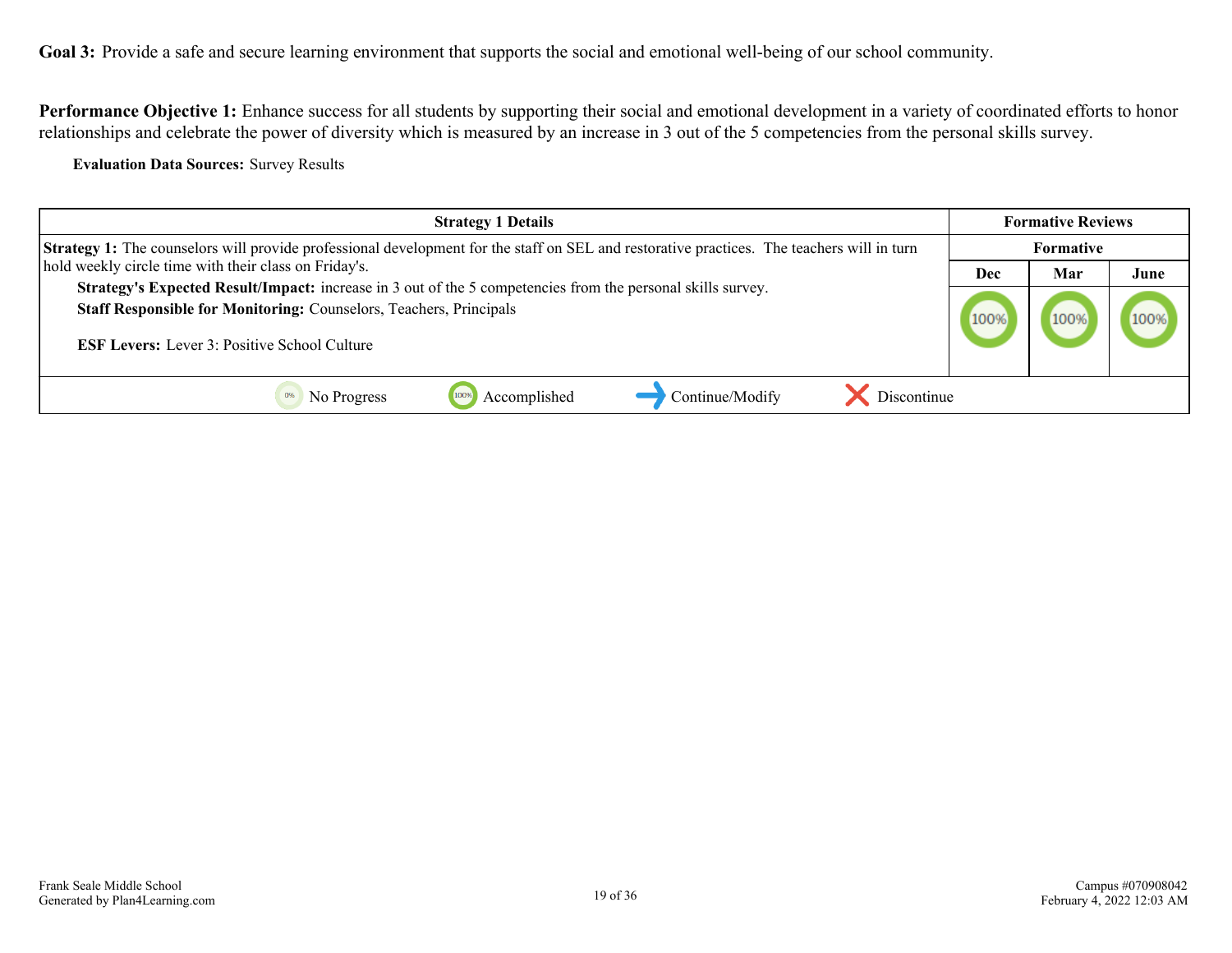<span id="page-18-0"></span>Performance Objective 1: Enhance success for all students by supporting their social and emotional development in a variety of coordinated efforts to honor relationships and celebrate the power of diversity which is measured by an increase in 3 out of the 5 competencies from the personal skills survey.

**Evaluation Data Sources:** Survey Results

| <b>Strategy 1 Details</b>                                                                                                                                                                                                                              | <b>Formative Reviews</b> |     |      |
|--------------------------------------------------------------------------------------------------------------------------------------------------------------------------------------------------------------------------------------------------------|--------------------------|-----|------|
| <b>Strategy 1:</b> The counselors will provide professional development for the staff on SEL and restorative practices. The teachers will in turn                                                                                                      | <b>Formative</b>         |     |      |
| hold weekly circle time with their class on Friday's.                                                                                                                                                                                                  | Dec                      | Mar | June |
| <b>Strategy's Expected Result/Impact:</b> increase in 3 out of the 5 competencies from the personal skills survey.<br><b>Staff Responsible for Monitoring: Counselors, Teachers, Principals</b><br><b>ESF Levers:</b> Lever 3: Positive School Culture |                          |     | 100% |
| Continue/Modify<br>Discontinue<br>Accomplished<br>No Progress                                                                                                                                                                                          |                          |     |      |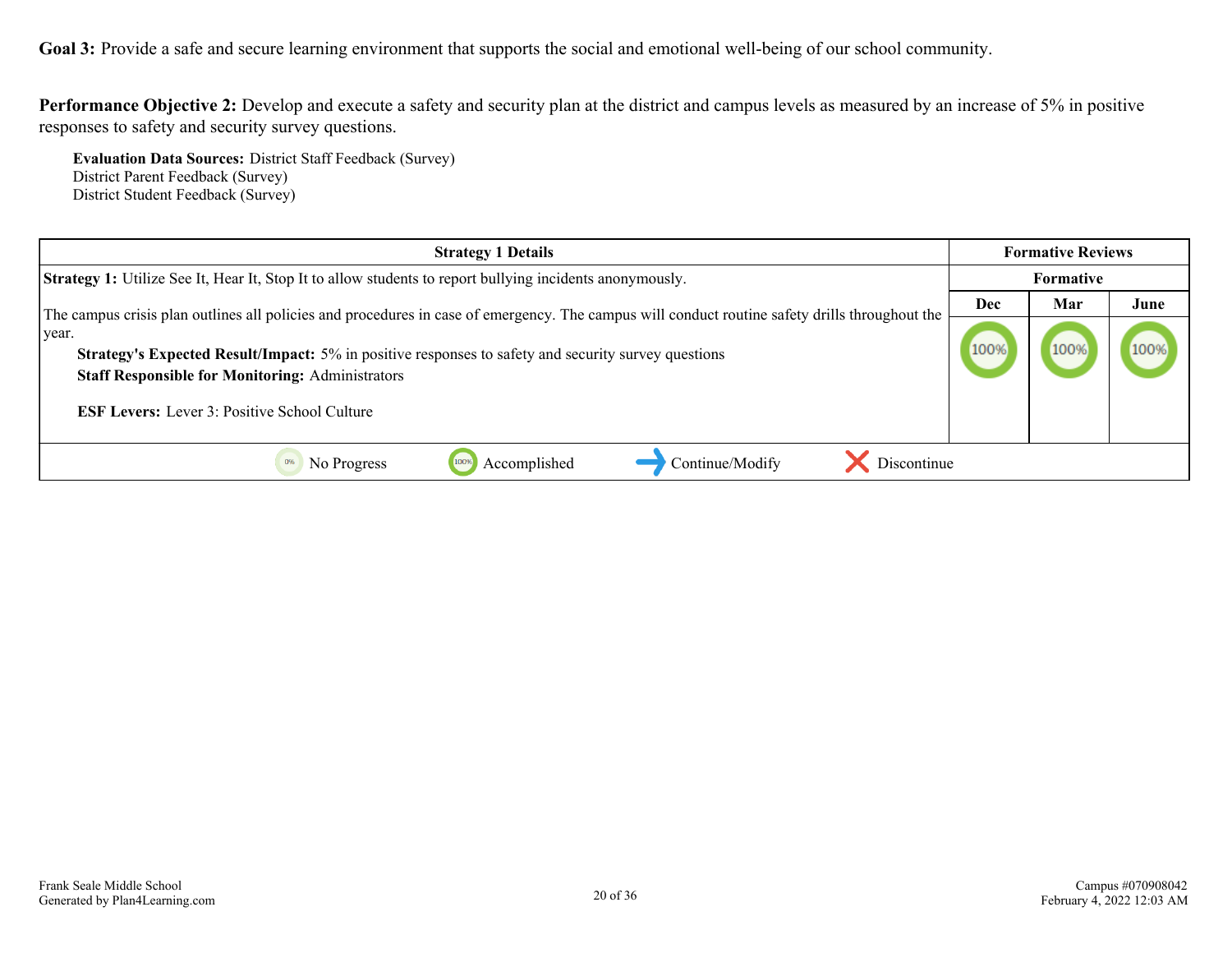**Performance Objective 2:** Develop and execute a safety and security plan at the district and campus levels as measured by an increase of 5% in positive responses to safety and security survey questions.

**Evaluation Data Sources:** District Staff Feedback (Survey) District Parent Feedback (Survey) District Student Feedback (Survey)

| <b>Strategy 1 Details</b>                                                                                                                                                                                                      | <b>Formative Reviews</b> |                  |      |
|--------------------------------------------------------------------------------------------------------------------------------------------------------------------------------------------------------------------------------|--------------------------|------------------|------|
| <b>Strategy 1:</b> Utilize See It, Hear It, Stop It to allow students to report bullying incidents anonymously.                                                                                                                |                          | <b>Formative</b> |      |
| The campus crisis plan outlines all policies and procedures in case of emergency. The campus will conduct routine safety drills throughout the                                                                                 | Dec                      | Mar              | June |
| year.<br>Strategy's Expected Result/Impact: 5% in positive responses to safety and security survey questions<br><b>Staff Responsible for Monitoring: Administrators</b><br><b>ESF Levers:</b> Lever 3: Positive School Culture | 100%                     | 100%             | 100% |
| Accomplished<br>Continue/Modify<br>Discontinue<br>No Progress                                                                                                                                                                  |                          |                  |      |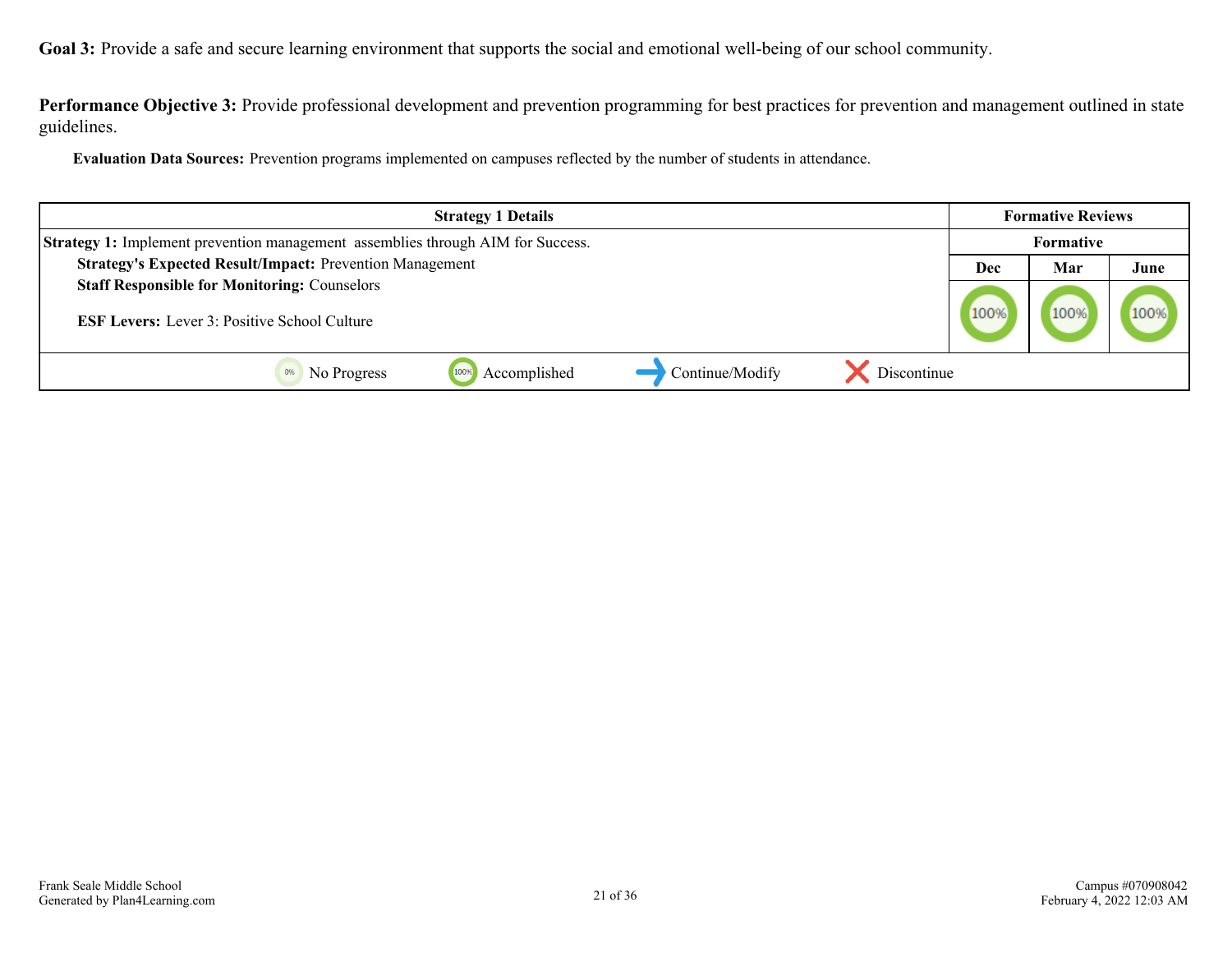**Performance Objective 3:** Provide professional development and prevention programming for best practices for prevention and management outlined in state guidelines.

**Evaluation Data Sources:** Prevention programs implemented on campuses reflected by the number of students in attendance.

| <b>Strategy 1 Details</b>                                                              |      | <b>Formative Reviews</b> |      |
|----------------------------------------------------------------------------------------|------|--------------------------|------|
| <b>Strategy 1:</b> Implement prevention management assemblies through AIM for Success. |      | <b>Formative</b>         |      |
| <b>Strategy's Expected Result/Impact: Prevention Management</b>                        | Dec  | Mar                      | June |
| <b>Staff Responsible for Monitoring: Counselors</b>                                    |      |                          |      |
| <b>ESF Levers:</b> Lever 3: Positive School Culture                                    | 100% | 100%                     | 100% |
| Continue/Modify<br>Accomplished<br>Discontinue<br>1009<br>No Progress                  |      |                          |      |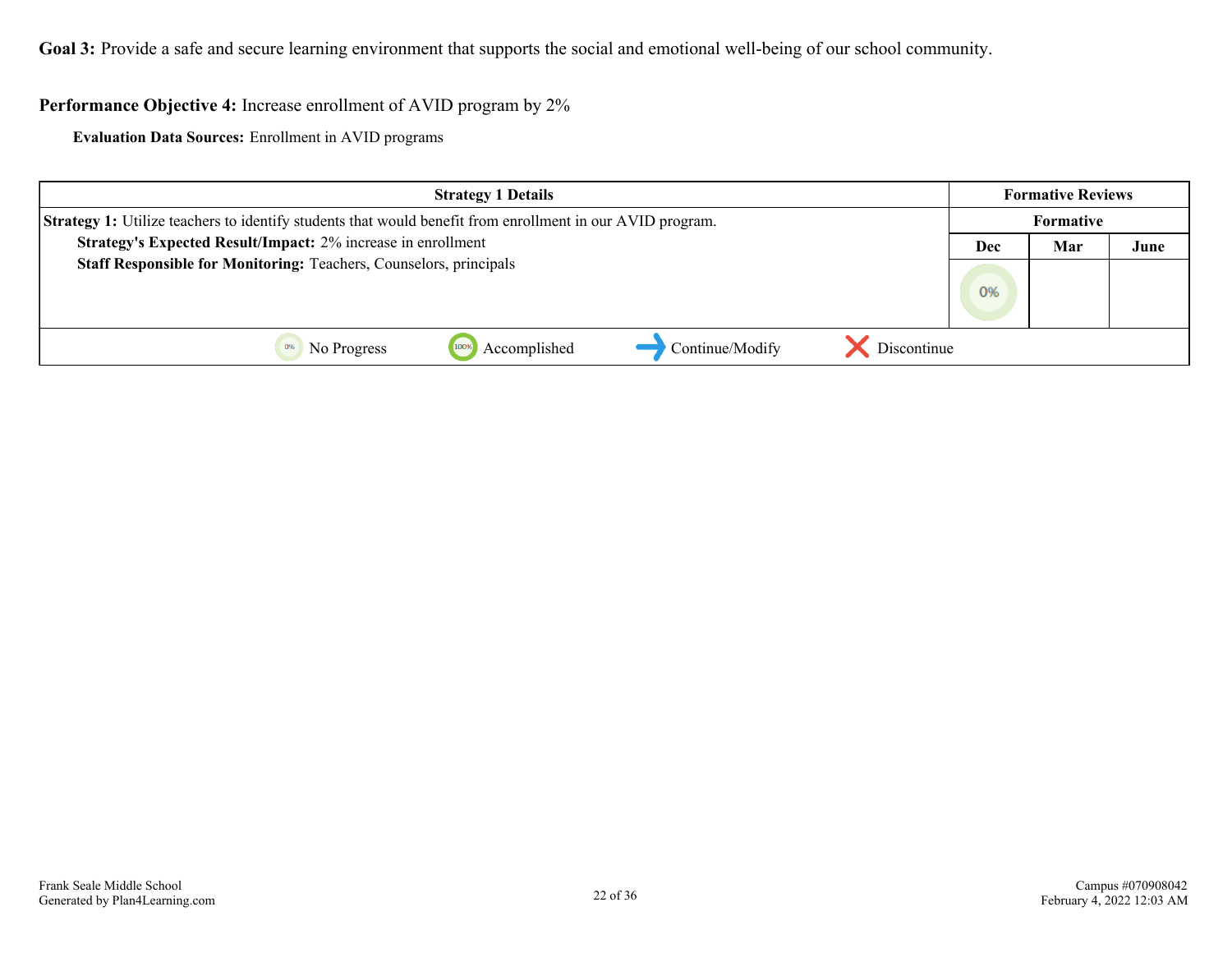#### **Performance Objective 4:** Increase enrollment of AVID program by 2%

**Evaluation Data Sources:** Enrollment in AVID programs

| <b>Strategy 1 Details</b>                                                                                        |     | <b>Formative Reviews</b> |      |
|------------------------------------------------------------------------------------------------------------------|-----|--------------------------|------|
| <b>Strategy 1:</b> Utilize teachers to identify students that would benefit from enrollment in our AVID program. |     | Formative                |      |
| Strategy's Expected Result/Impact: 2% increase in enrollment                                                     | Dec | Mar                      | June |
| Staff Responsible for Monitoring: Teachers, Counselors, principals                                               |     |                          |      |
|                                                                                                                  | 0%  |                          |      |
|                                                                                                                  |     |                          |      |
| Continue/Modify<br>Discontinue<br>Accomplished<br>100<br>No Progress                                             |     |                          |      |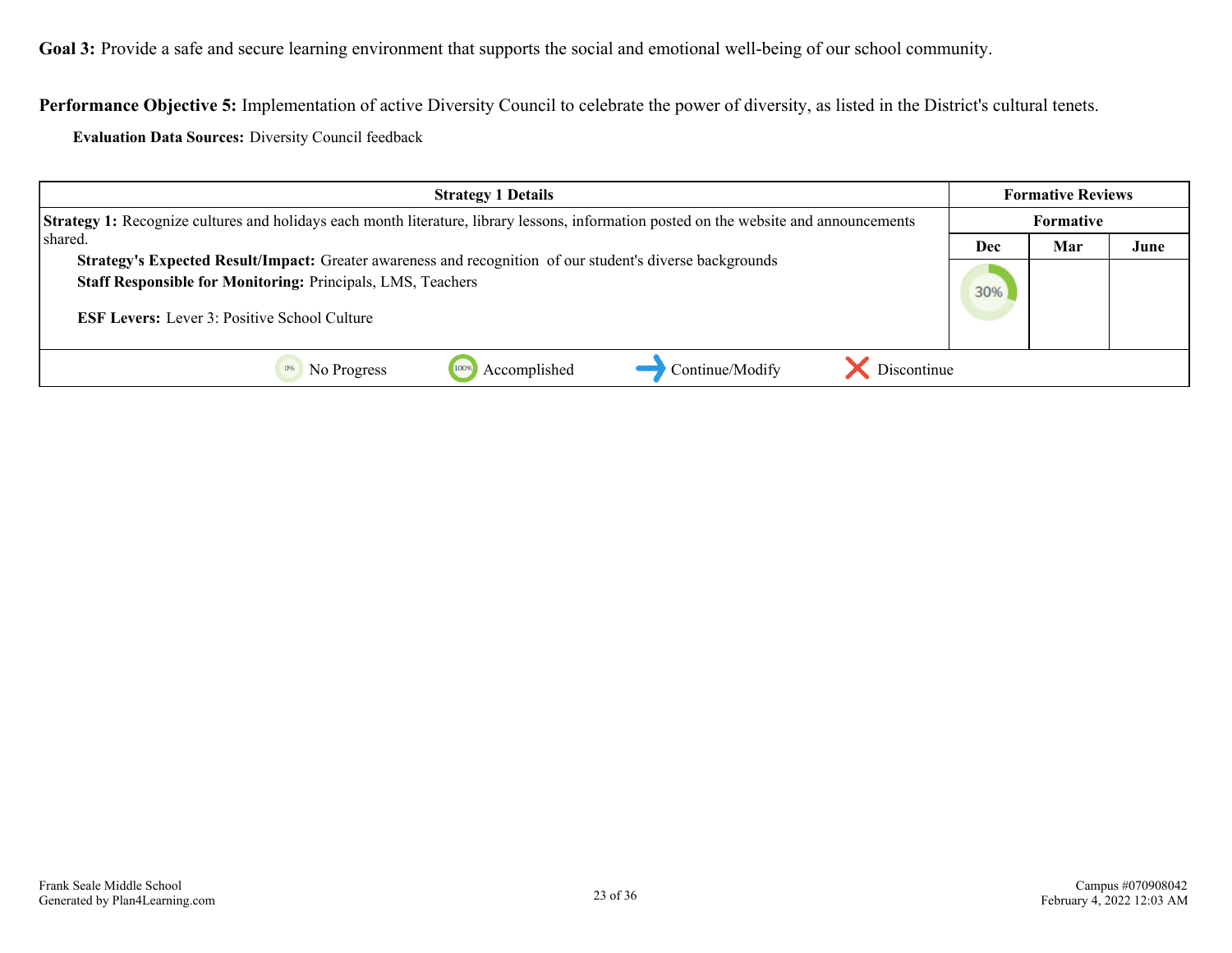**Performance Objective 5:** Implementation of active Diversity Council to celebrate the power of diversity, as listed in the District's cultural tenets.

**Evaluation Data Sources:** Diversity Council feedback

| <b>Strategy 1 Details</b>                                                                                                                                                                                                                     |     | <b>Formative Reviews</b> |      |
|-----------------------------------------------------------------------------------------------------------------------------------------------------------------------------------------------------------------------------------------------|-----|--------------------------|------|
| <b>Strategy 1:</b> Recognize cultures and holidays each month literature, library lessons, information posted on the website and announcements                                                                                                |     | <b>Formative</b>         |      |
| shared.                                                                                                                                                                                                                                       | Dec | Mar                      | June |
| <b>Strategy's Expected Result/Impact:</b> Greater awareness and recognition of our student's diverse backgrounds<br><b>Staff Responsible for Monitoring: Principals, LMS, Teachers</b><br><b>ESF Levers:</b> Lever 3: Positive School Culture |     |                          |      |
| Discontinue<br>Continue/Modify<br>Accomplished<br>No Progress<br>100%                                                                                                                                                                         |     |                          |      |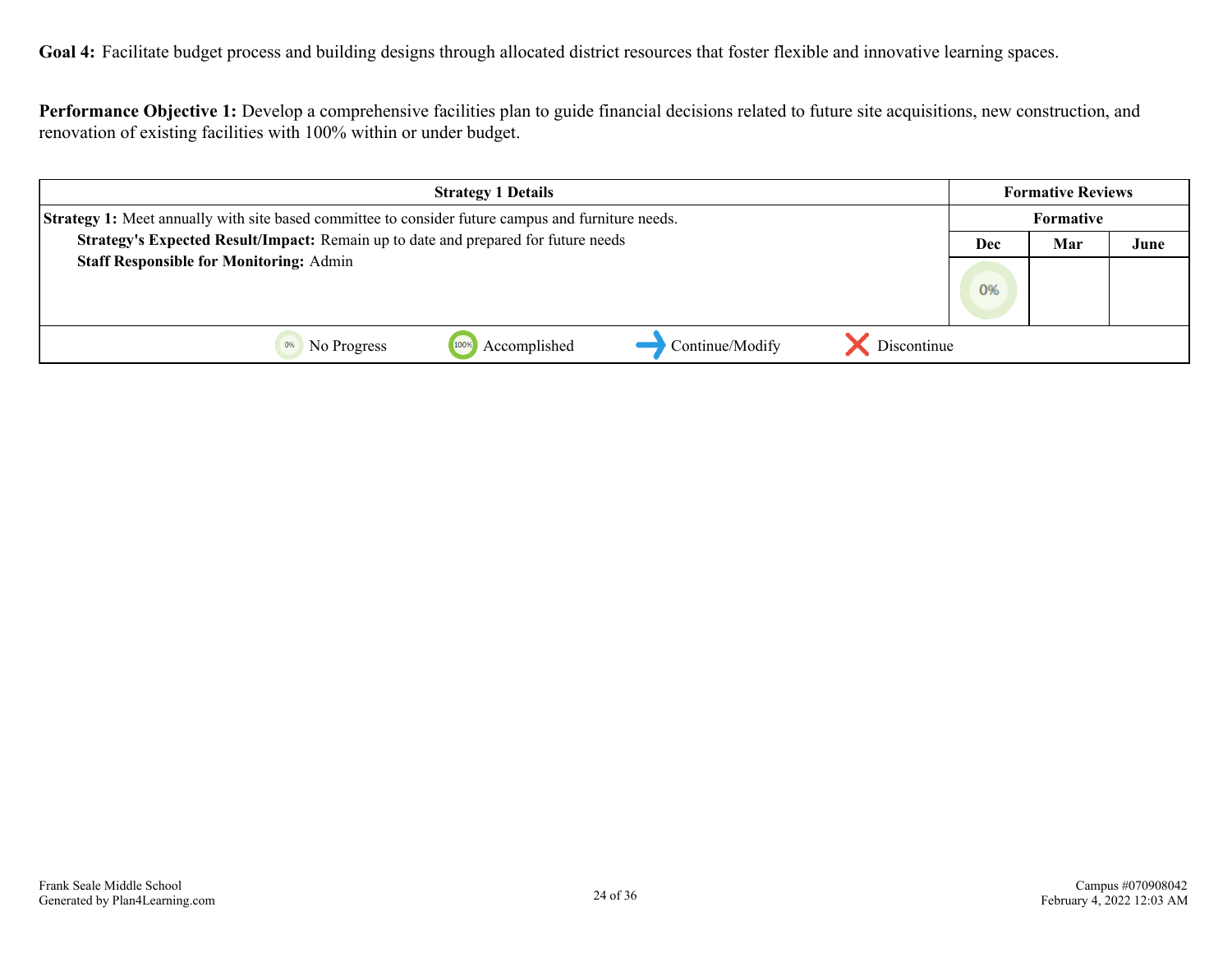<span id="page-23-0"></span>Goal 4: Facilitate budget process and building designs through allocated district resources that foster flexible and innovative learning spaces.

**Performance Objective 1:** Develop a comprehensive facilities plan to guide financial decisions related to future site acquisitions, new construction, and renovation of existing facilities with 100% within or under budget.

| <b>Strategy 1 Details</b>                                                                                 |     | <b>Formative Reviews</b> |      |
|-----------------------------------------------------------------------------------------------------------|-----|--------------------------|------|
| <b>Strategy 1:</b> Meet annually with site based committee to consider future campus and furniture needs. |     | Formative                |      |
| Strategy's Expected Result/Impact: Remain up to date and prepared for future needs                        | Dec | Mar                      | June |
| <b>Staff Responsible for Monitoring: Admin</b>                                                            |     |                          |      |
|                                                                                                           | 0%  |                          |      |
|                                                                                                           |     |                          |      |
| Continue/Modify<br>Accomplished<br>Discontinue<br>1009<br>No Progress                                     |     |                          |      |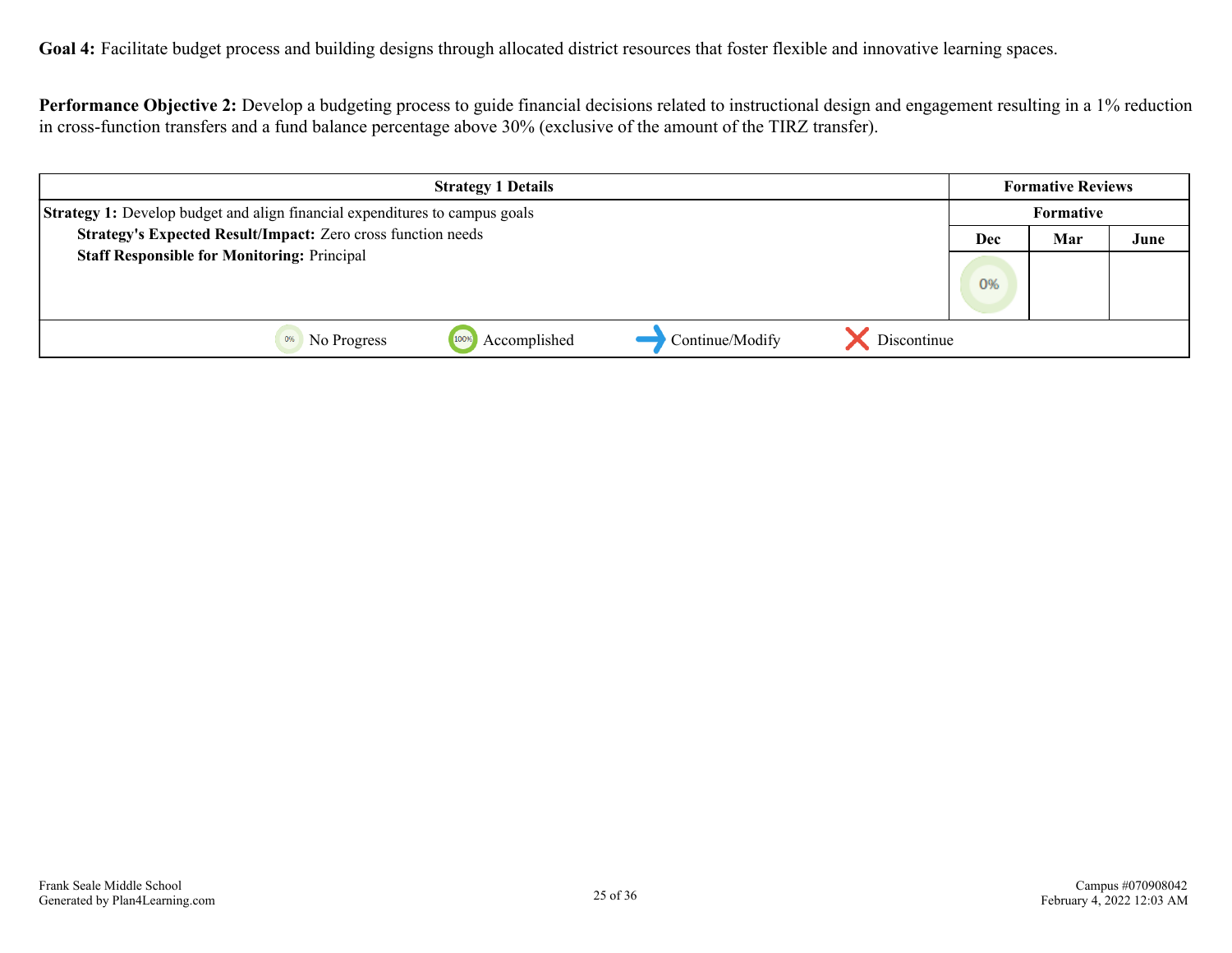**Goal 4:** Facilitate budget process and building designs through allocated district resources that foster flexible and innovative learning spaces.

**Performance Objective 2:** Develop a budgeting process to guide financial decisions related to instructional design and engagement resulting in a 1% reduction in cross-function transfers and a fund balance percentage above 30% (exclusive of the amount of the TIRZ transfer).

| <b>Strategy 1 Details</b>                                                          |             |     | <b>Formative Reviews</b> |      |
|------------------------------------------------------------------------------------|-------------|-----|--------------------------|------|
| <b>Strategy 1:</b> Develop budget and align financial expenditures to campus goals |             |     | Formative                |      |
| Strategy's Expected Result/Impact: Zero cross function needs                       |             | Dec | Mar                      | June |
| <b>Staff Responsible for Monitoring: Principal</b>                                 |             | 0%  |                          |      |
| Continue/Modify<br>Accomplished<br>100%<br>No Progress                             | Discontinue |     |                          |      |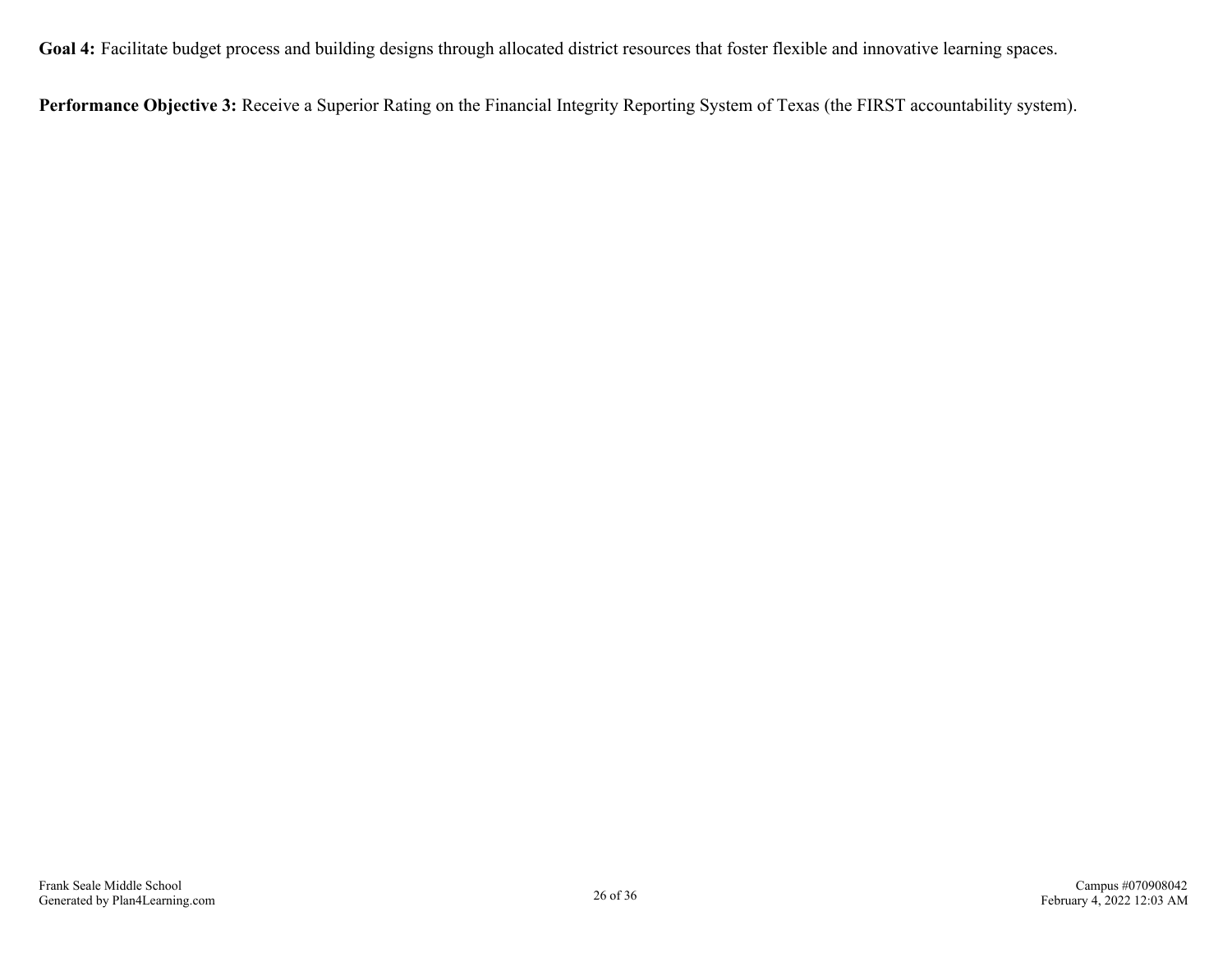**Goal 4:** Facilitate budget process and building designs through allocated district resources that foster flexible and innovative learning spaces.

**Performance Objective 3:** Receive a Superior Rating on the Financial Integrity Reporting System of Texas (the FIRST accountability system).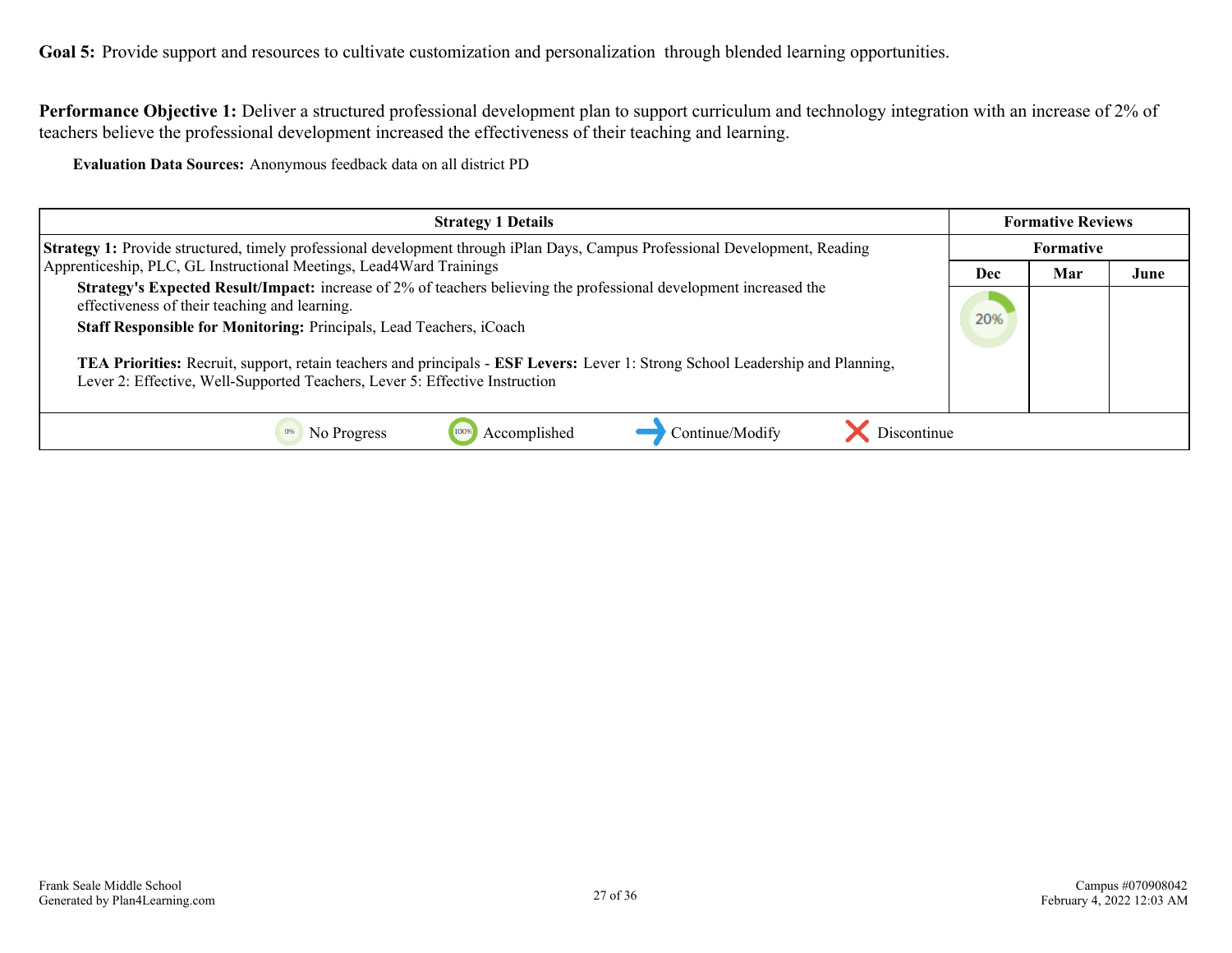<span id="page-26-0"></span>Goal 5: Provide support and resources to cultivate customization and personalization through blended learning opportunities.

**Performance Objective 1:** Deliver a structured professional development plan to support curriculum and technology integration with an increase of 2% of teachers believe the professional development increased the effectiveness of their teaching and learning.

**Evaluation Data Sources:** Anonymous feedback data on all district PD

| <b>Strategy 1 Details</b>                                                                                                                                                                                                                                                                                                                                                                                                                                          | <b>Formative Reviews</b> |                  |      |  |
|--------------------------------------------------------------------------------------------------------------------------------------------------------------------------------------------------------------------------------------------------------------------------------------------------------------------------------------------------------------------------------------------------------------------------------------------------------------------|--------------------------|------------------|------|--|
| <b>Strategy 1:</b> Provide structured, timely professional development through iPlan Days, Campus Professional Development, Reading                                                                                                                                                                                                                                                                                                                                |                          | <b>Formative</b> |      |  |
| Apprenticeship, PLC, GL Instructional Meetings, Lead4Ward Trainings                                                                                                                                                                                                                                                                                                                                                                                                | Dec                      | Mar              | June |  |
| <b>Strategy's Expected Result/Impact:</b> increase of 2% of teachers believing the professional development increased the<br>effectiveness of their teaching and learning.<br>Staff Responsible for Monitoring: Principals, Lead Teachers, iCoach<br>TEA Priorities: Recruit, support, retain teachers and principals - ESF Levers: Lever 1: Strong School Leadership and Planning,<br>Lever 2: Effective, Well-Supported Teachers, Lever 5: Effective Instruction |                          |                  |      |  |
|                                                                                                                                                                                                                                                                                                                                                                                                                                                                    |                          |                  |      |  |
| Accomplished<br>Continue/Modify<br>Discontinue<br>No Progress                                                                                                                                                                                                                                                                                                                                                                                                      |                          |                  |      |  |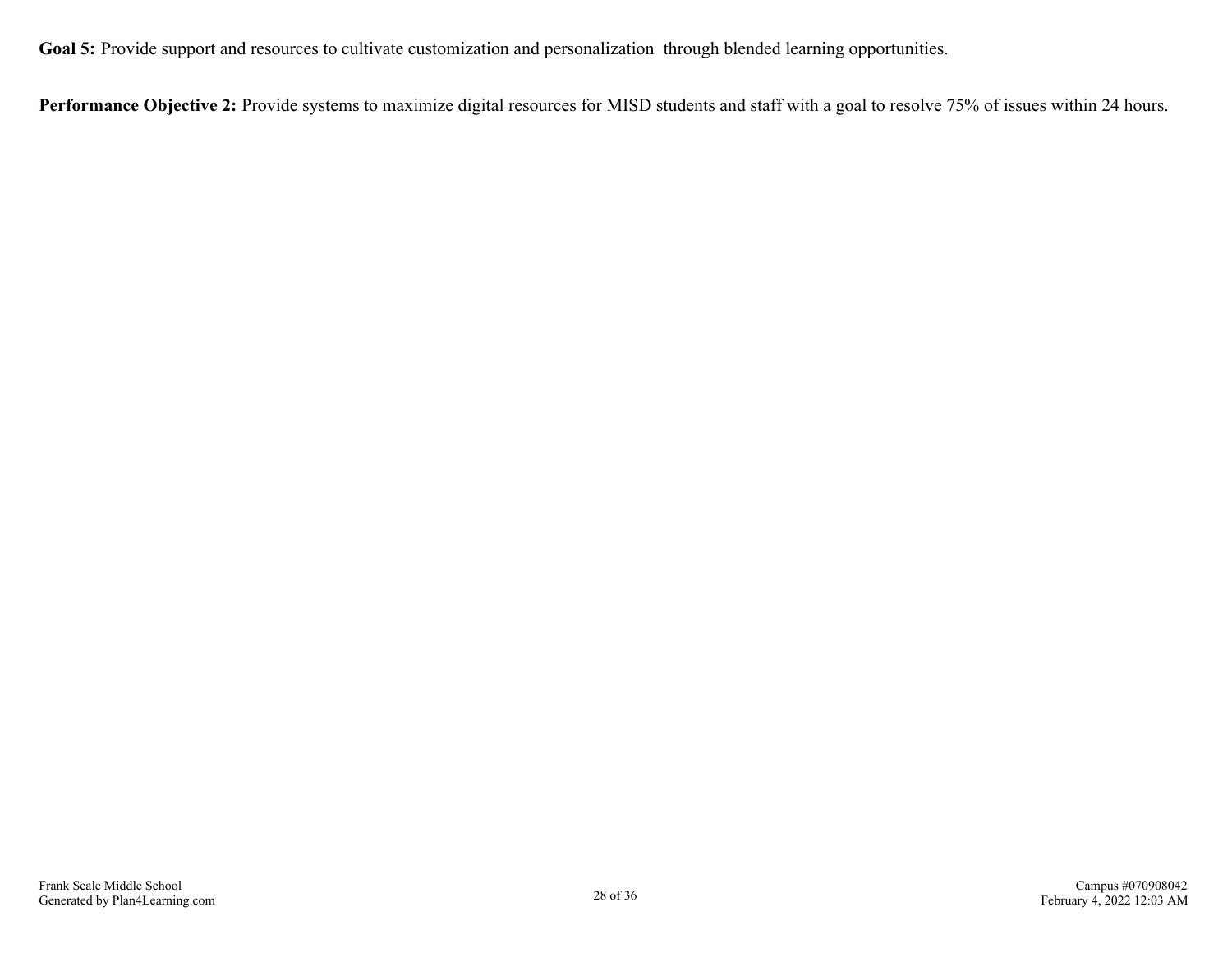Goal 5: Provide support and resources to cultivate customization and personalization through blended learning opportunities.

Performance Objective 2: Provide systems to maximize digital resources for MISD students and staff with a goal to resolve 75% of issues within 24 hours.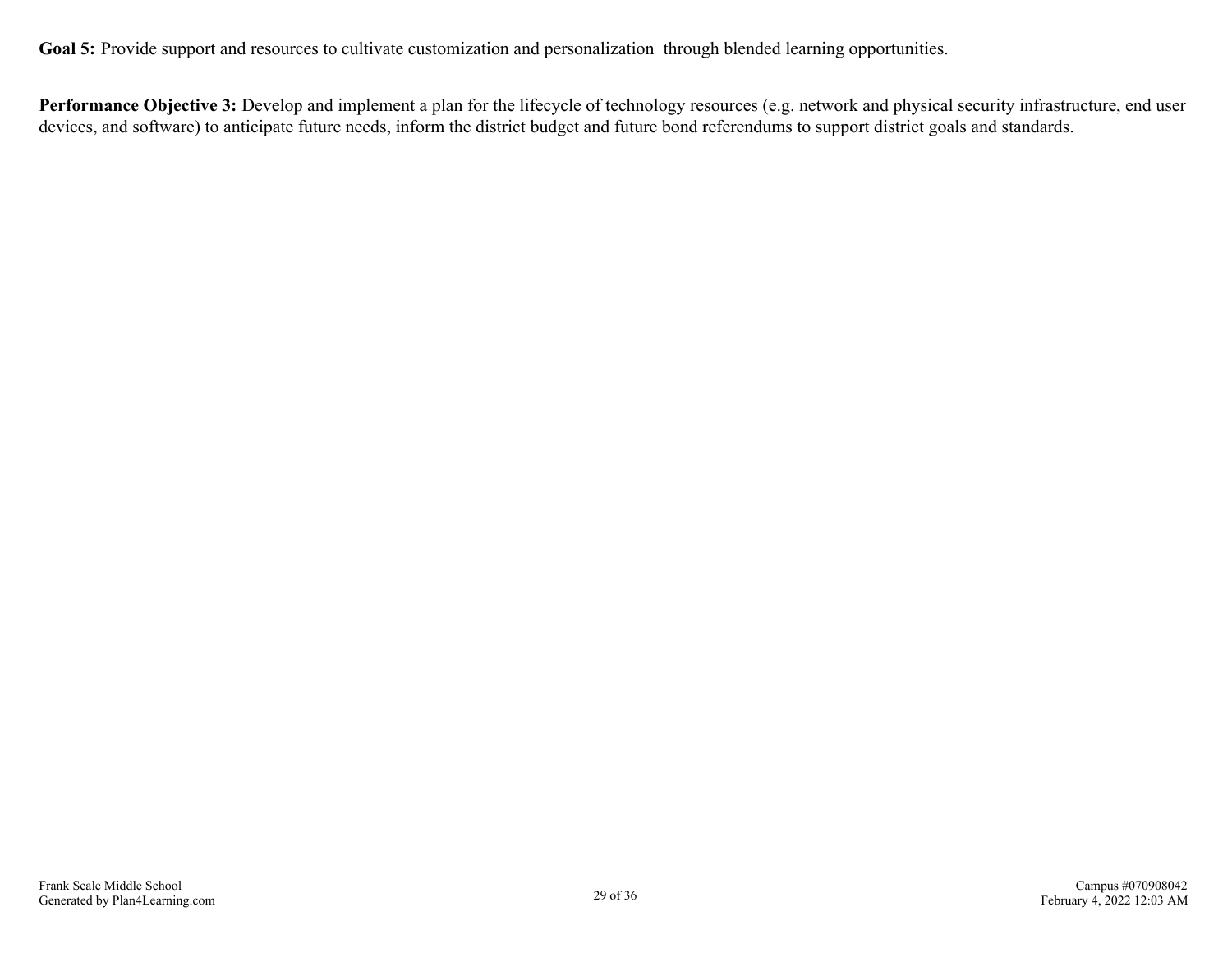Goal 5: Provide support and resources to cultivate customization and personalization through blended learning opportunities.

**Performance Objective 3:** Develop and implement a plan for the lifecycle of technology resources (e.g. network and physical security infrastructure, end user devices, and software) to anticipate future needs, inform the district budget and future bond referendums to support district goals and standards.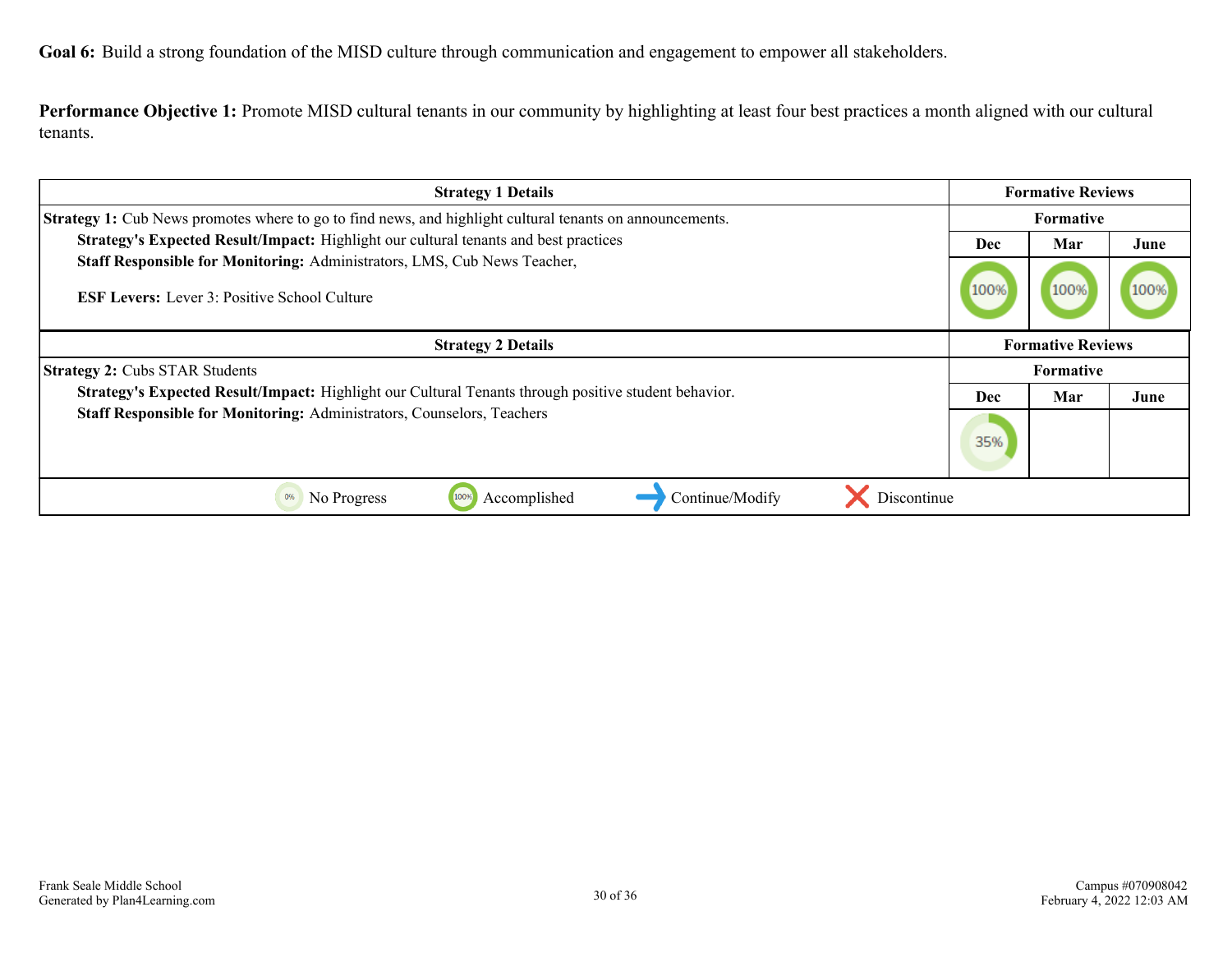<span id="page-29-0"></span>**Goal 6:** Build a strong foundation of the MISD culture through communication and engagement to empower all stakeholders.

**Performance Objective 1:** Promote MISD cultural tenants in our community by highlighting at least four best practices a month aligned with our cultural tenants.

| <b>Strategy 1 Details</b>                                                                                                       |      | <b>Formative Reviews</b> |      |
|---------------------------------------------------------------------------------------------------------------------------------|------|--------------------------|------|
| <b>Strategy 1:</b> Cub News promotes where to go to find news, and highlight cultural tenants on announcements.                 |      | Formative                |      |
| Strategy's Expected Result/Impact: Highlight our cultural tenants and best practices                                            | Dec  | Mar                      | June |
| Staff Responsible for Monitoring: Administrators, LMS, Cub News Teacher,<br><b>ESF Levers:</b> Lever 3: Positive School Culture | 100% | 100%                     | 100% |
| <b>Strategy 2 Details</b>                                                                                                       |      | <b>Formative Reviews</b> |      |
| <b>Strategy 2: Cubs STAR Students</b>                                                                                           |      | Formative                |      |
| Strategy's Expected Result/Impact: Highlight our Cultural Tenants through positive student behavior.                            | Dec  | Mar                      | June |
| Staff Responsible for Monitoring: Administrators, Counselors, Teachers                                                          | 35%  |                          |      |
| Continue/Modify<br>Accomplished<br>Discontinue<br>0%<br>No Progress<br>100%                                                     |      |                          |      |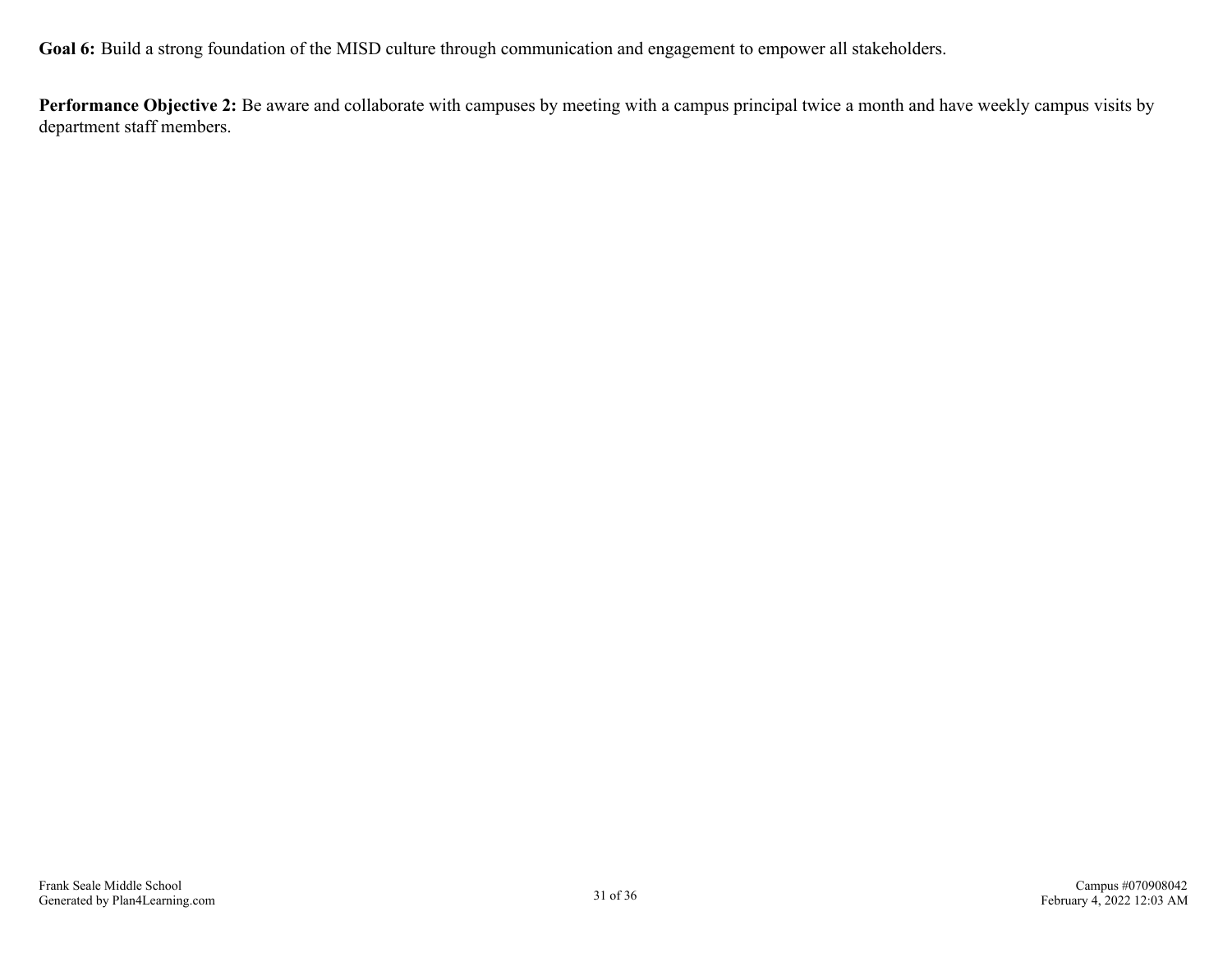**Goal 6:** Build a strong foundation of the MISD culture through communication and engagement to empower all stakeholders.

**Performance Objective 2:** Be aware and collaborate with campuses by meeting with a campus principal twice a month and have weekly campus visits by department staff members.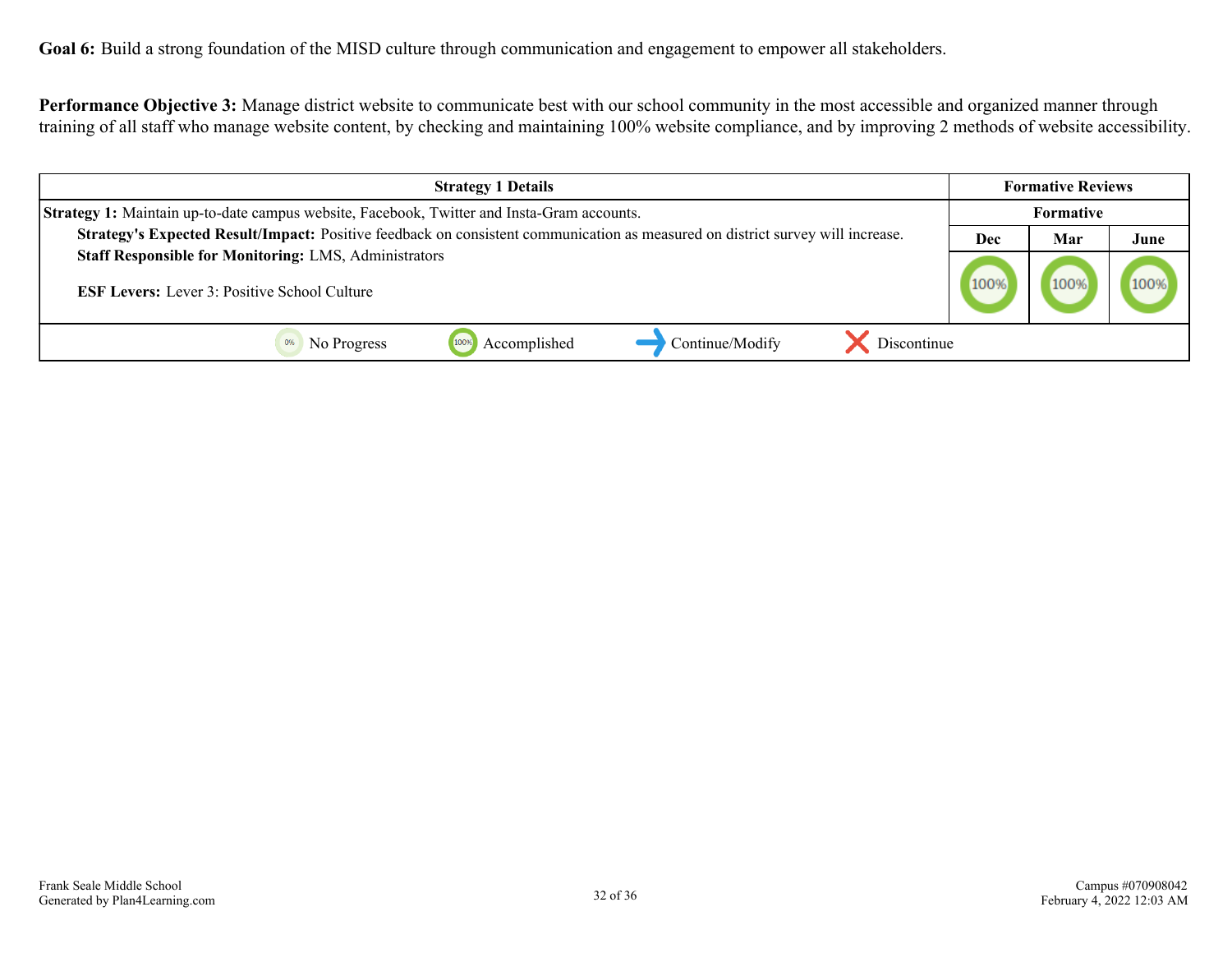**Performance Objective 3:** Manage district website to communicate best with our school community in the most accessible and organized manner through training of all staff who manage website content, by checking and maintaining 100% website compliance, and by improving 2 methods of website accessibility.

| <b>Strategy 1 Details</b>                                                                                                      |     | <b>Formative Reviews</b> |      |
|--------------------------------------------------------------------------------------------------------------------------------|-----|--------------------------|------|
| Strategy 1: Maintain up-to-date campus website, Facebook, Twitter and Insta-Gram accounts.                                     |     | <b>Formative</b>         |      |
| Strategy's Expected Result/Impact: Positive feedback on consistent communication as measured on district survey will increase. | Dec | Mar                      | June |
| <b>Staff Responsible for Monitoring: LMS, Administrators</b>                                                                   |     |                          |      |
| <b>ESF Levers:</b> Lever 3: Positive School Culture                                                                            |     |                          |      |
| Discontinue<br>Accomplished<br>Continue/Modify<br>No Progress                                                                  |     |                          |      |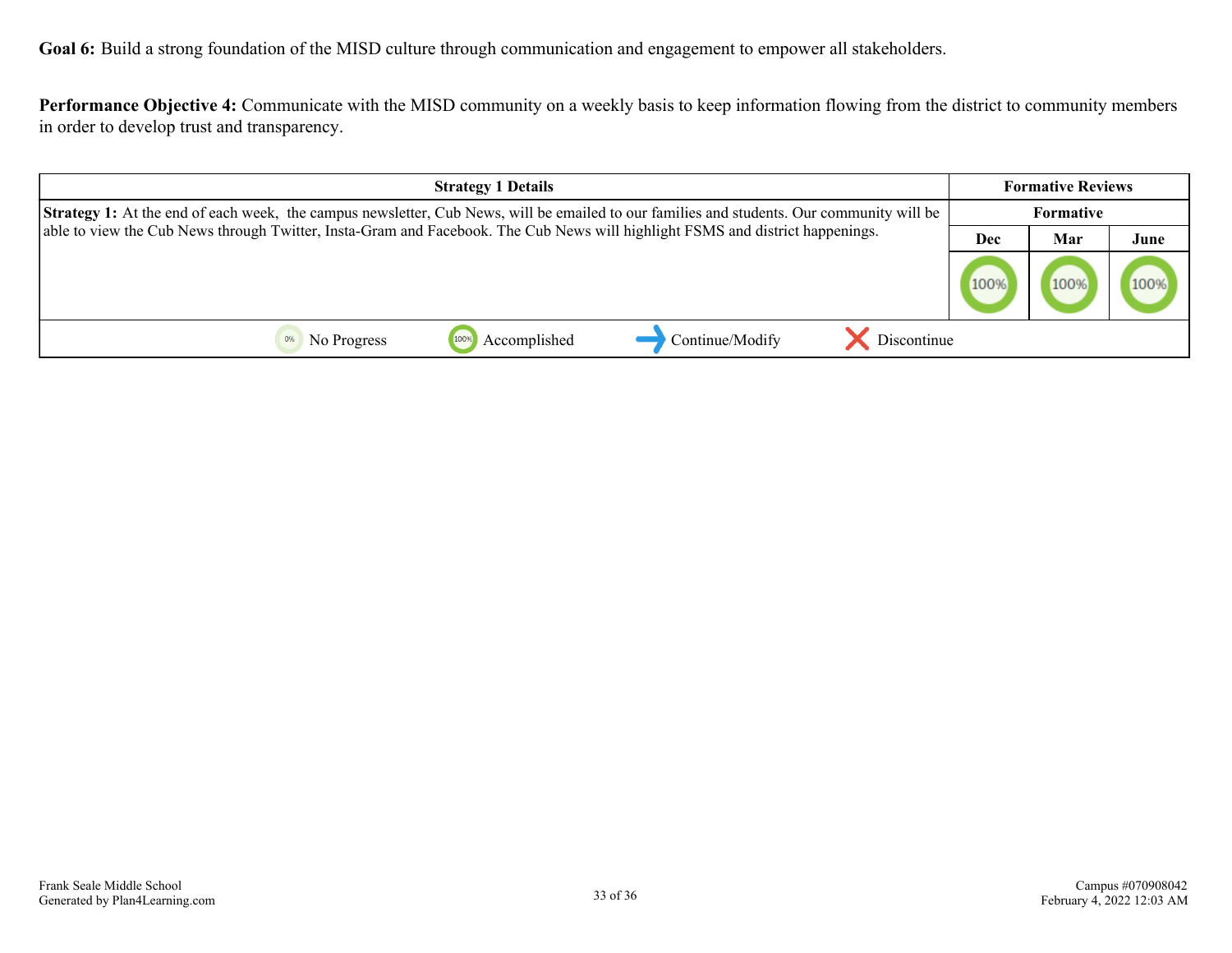**Goal 6:** Build a strong foundation of the MISD culture through communication and engagement to empower all stakeholders.

**Performance Objective 4:** Communicate with the MISD community on a weekly basis to keep information flowing from the district to community members in order to develop trust and transparency.

| <b>Strategy 1 Details</b>                                                                                                                        |                  | <b>Formative Reviews</b> |      |
|--------------------------------------------------------------------------------------------------------------------------------------------------|------------------|--------------------------|------|
| <b>Strategy 1:</b> At the end of each week, the campus newsletter, Cub News, will be emailed to our families and students. Our community will be | <b>Formative</b> |                          |      |
| able to view the Cub News through Twitter, Insta-Gram and Facebook. The Cub News will highlight FSMS and district happenings.                    | Dec              | June                     |      |
|                                                                                                                                                  | 100%             | 100%                     | 100% |
| Continue/Modify<br>Accomplished<br>Discontinue<br>100%<br>No Progress                                                                            |                  |                          |      |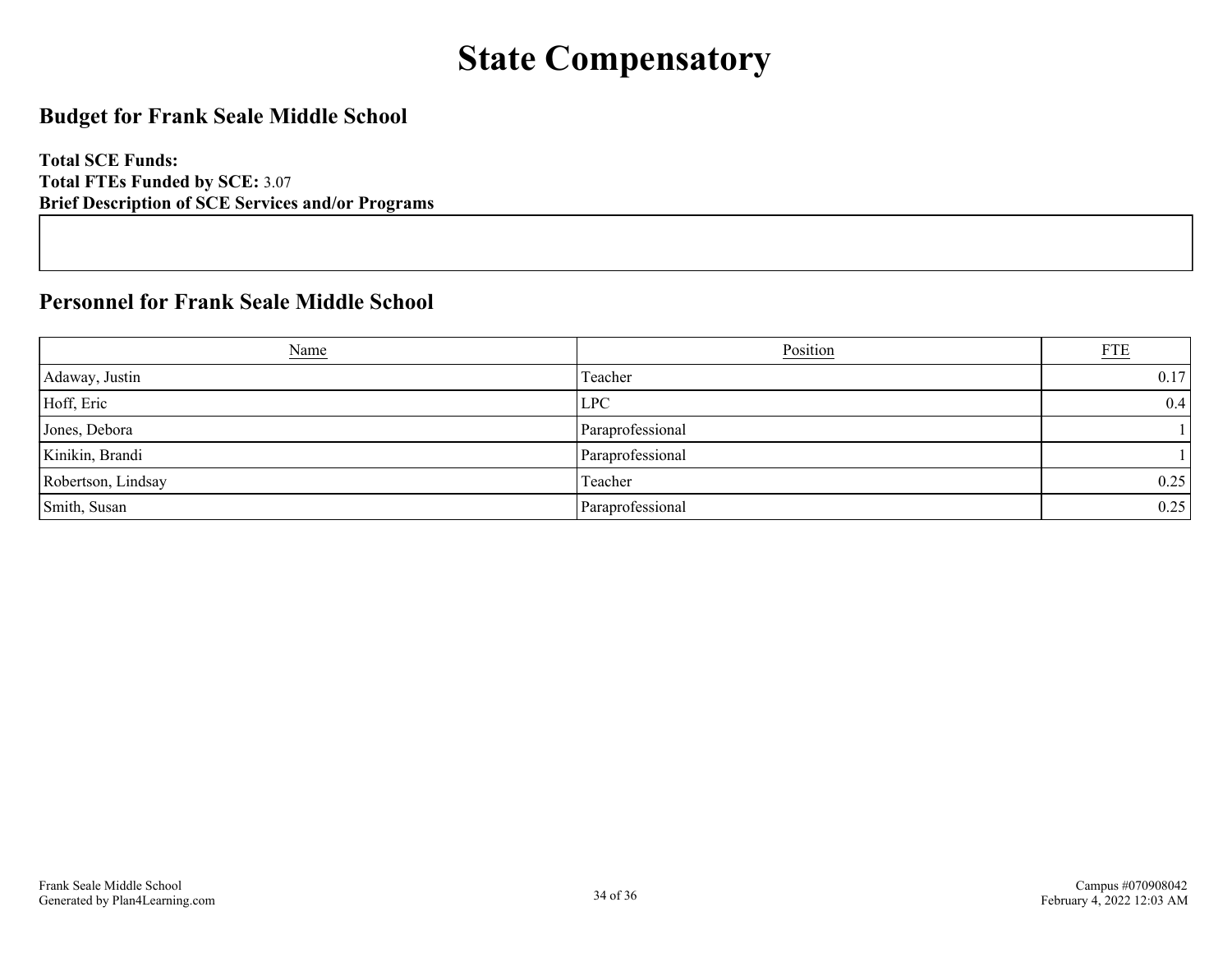# **State Compensatory**

### <span id="page-33-0"></span>**Budget for Frank Seale Middle School**

**Total SCE Funds: Total FTEs Funded by SCE:** 3.07 **Brief Description of SCE Services and/or Programs**

### **Personnel for Frank Seale Middle School**

| <b>Name</b>        | Position         | ${\underline{\rm FTE}}$ |
|--------------------|------------------|-------------------------|
| Adaway, Justin     | Teacher          | 0.17                    |
| Hoff, Eric         | LPC              | 0.4                     |
| Jones, Debora      | Paraprofessional |                         |
| Kinikin, Brandi    | Paraprofessional |                         |
| Robertson, Lindsay | Teacher          | 0.25                    |
| Smith, Susan       | Paraprofessional | 0.25                    |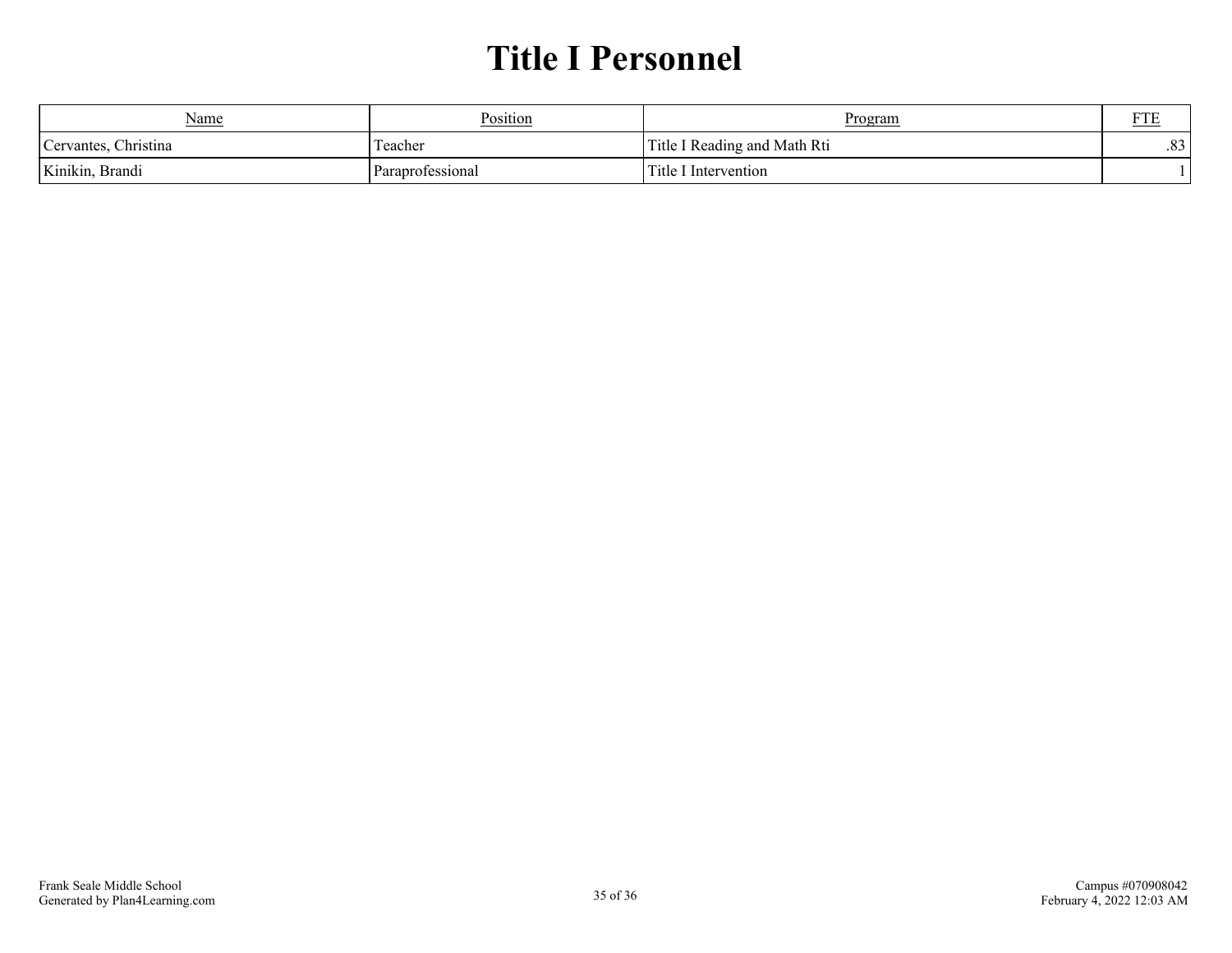### **Title I Personnel**

<span id="page-34-0"></span>

| Name                    | Position           | Program                      | <b>DOD</b><br><u>c i p</u> |
|-------------------------|--------------------|------------------------------|----------------------------|
| Cervantes.<br>Christina | $\sim$<br>l'eacher | Title I Reading and Math Rti | .83                        |
| Kinikin, Brandi         | Paraprofessional   | Title I Intervention         |                            |